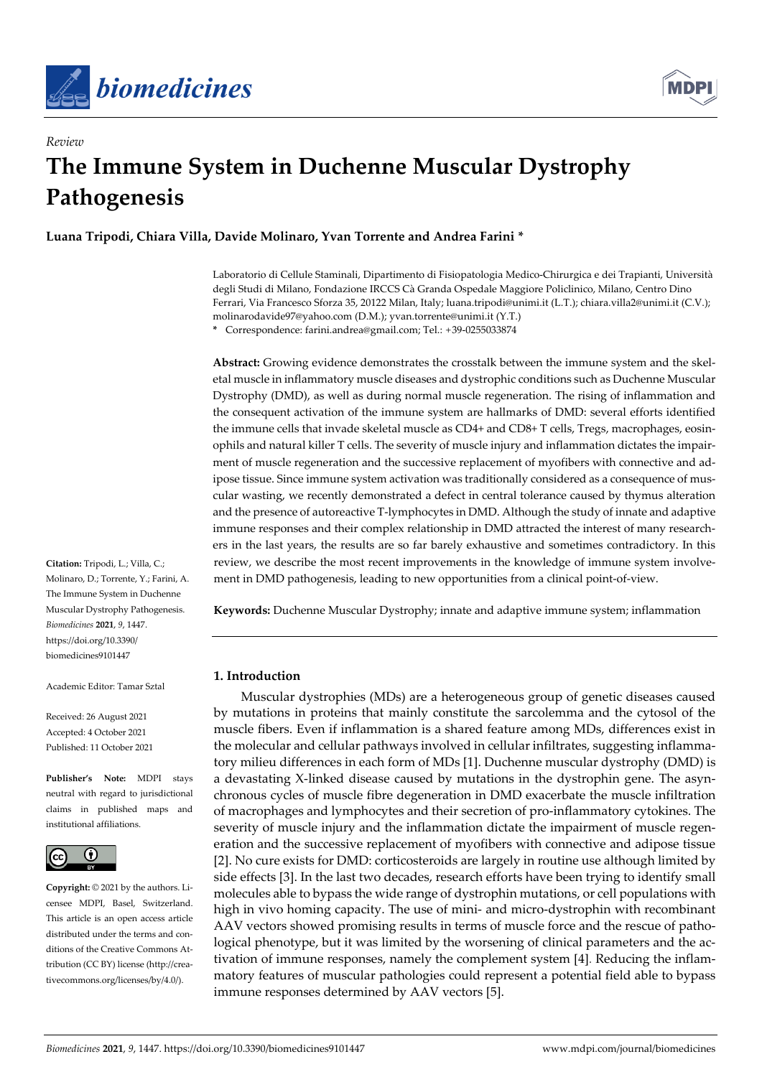

*Review*



# **The Immune System in Duchenne Muscular Dystrophy Pathogenesis**

**Luana Tripodi, Chiara Villa, Davide Molinaro, Yvan Torrente and Andrea Farini \***

Laboratorio di Cellule Staminali, Dipartimento di Fisiopatologia Medico-Chirurgica e dei Trapianti, Università degli Studi di Milano, Fondazione IRCCS Cà Granda Ospedale Maggiore Policlinico, Milano, Centro Dino Ferrari, Via Francesco Sforza 35, 20122 Milan, Italy; luana.tripodi@unimi.it (L.T.); chiara.villa2@unimi.it (C.V.); molinarodavide97@yahoo.com (D.M.); yvan.torrente@unimi.it (Y.T.)

**\*** Correspondence: farini.andrea@gmail.com; Tel.: +39-0255033874

**Abstract:** Growing evidence demonstrates the crosstalk between the immune system and the skeletal muscle in inflammatory muscle diseases and dystrophic conditions such as Duchenne Muscular Dystrophy (DMD), as well as during normal muscle regeneration. The rising of inflammation and the consequent activation of the immune system are hallmarks of DMD: several efforts identified the immune cells that invade skeletal muscle as CD4+ and CD8+ T cells, Tregs, macrophages, eosinophils and natural killer T cells. The severity of muscle injury and inflammation dictates the impairment of muscle regeneration and the successive replacement of myofibers with connective and adipose tissue. Since immune system activation was traditionally considered as a consequence of muscular wasting, we recently demonstrated a defect in central tolerance caused by thymus alteration and the presence of autoreactive T-lymphocytes in DMD. Although the study of innate and adaptive immune responses and their complex relationship in DMD attracted the interest of many researchers in the last years, the results are so far barely exhaustive and sometimes contradictory. In this review, we describe the most recent improvements in the knowledge of immune system involvement in DMD pathogenesis, leading to new opportunities from a clinical point-of-view.

**Keywords:** Duchenne Muscular Dystrophy; innate and adaptive immune system; inflammation

# **1. Introduction**

Muscular dystrophies (MDs) are a heterogeneous group of genetic diseases caused by mutations in proteins that mainly constitute the sarcolemma and the cytosol of the muscle fibers. Even if inflammation is a shared feature among MDs, differences exist in the molecular and cellular pathways involved in cellular infiltrates, suggesting inflammatory milieu differences in each form of MDs [1]. Duchenne muscular dystrophy (DMD) is a devastating X-linked disease caused by mutations in the dystrophin gene. The asynchronous cycles of muscle fibre degeneration in DMD exacerbate the muscle infiltration of macrophages and lymphocytes and their secretion of pro-inflammatory cytokines. The severity of muscle injury and the inflammation dictate the impairment of muscle regeneration and the successive replacement of myofibers with connective and adipose tissue [2]. No cure exists for DMD: corticosteroids are largely in routine use although limited by side effects [3]. In the last two decades, research efforts have been trying to identify small molecules able to bypass the wide range of dystrophin mutations, or cell populations with high in vivo homing capacity. The use of mini- and micro-dystrophin with recombinant AAV vectors showed promising results in terms of muscle force and the rescue of pathological phenotype, but it was limited by the worsening of clinical parameters and the activation of immune responses, namely the complement system [4]. Reducing the inflammatory features of muscular pathologies could represent a potential field able to bypass immune responses determined by AAV vectors [5].

**Citation:** Tripodi, L.; Villa, C.; Molinaro, D.; Torrente, Y.; Farini, A. The Immune System in Duchenne Muscular Dystrophy Pathogenesis. *Biomedicines* **2021**, *9*, 1447. https://doi.org/10.3390/ biomedicines9101447

Academic Editor: Tamar Sztal

Received: 26 August 2021 Accepted: 4 October 2021 Published: 11 October 2021

**Publisher's Note:** MDPI stays neutral with regard to jurisdictional claims in published maps and institutional affiliations.



**Copyright:** © 2021 by the authors. Licensee MDPI, Basel, Switzerland. This article is an open access article distributed under the terms and conditions of the Creative Commons Attribution (CC BY) license (http://creativecommons.org/licenses/by/4.0/).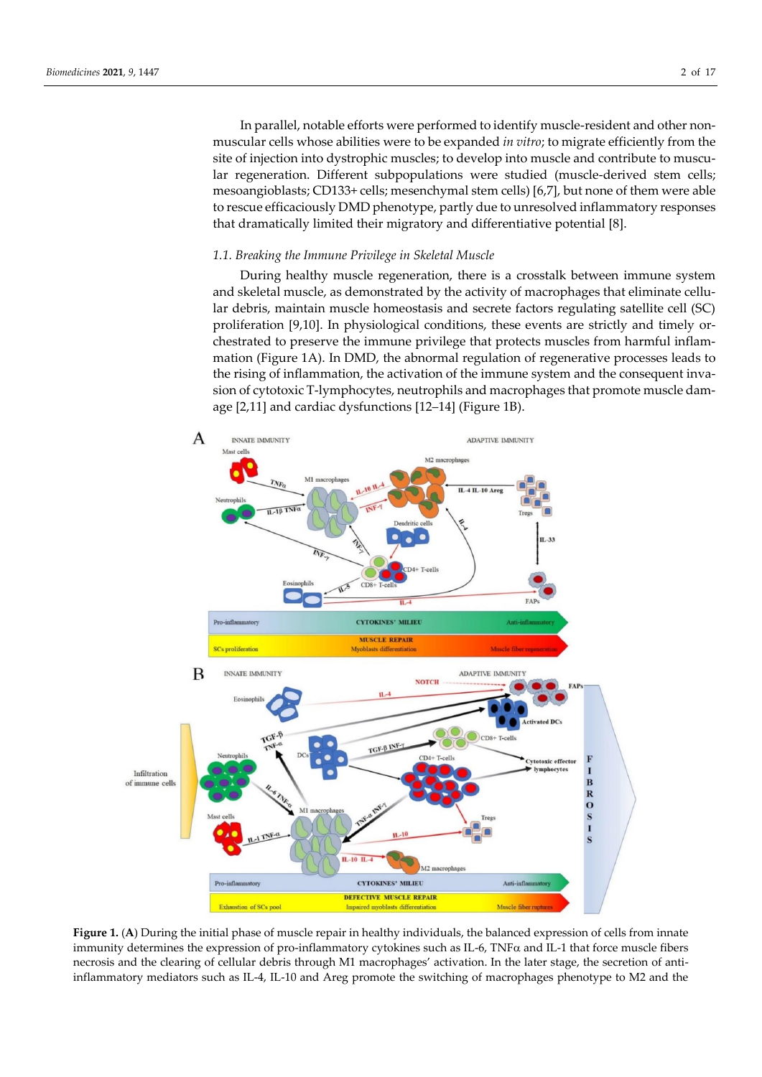In parallel, notable efforts were performed to identify muscle-resident and other nonmuscular cells whose abilities were to be expanded *in vitro*; to migrate efficiently from the site of injection into dystrophic muscles; to develop into muscle and contribute to muscular regeneration. Different subpopulations were studied (muscle-derived stem cells; mesoangioblasts; CD133+ cells; mesenchymal stem cells) [6,7], but none of them were able to rescue efficaciously DMD phenotype, partly due to unresolved inflammatory responses that dramatically limited their migratory and differentiative potential [8].

## *1.1. Breaking the Immune Privilege in Skeletal Muscle*

During healthy muscle regeneration, there is a crosstalk between immune system and skeletal muscle, as demonstrated by the activity of macrophages that eliminate cellular debris, maintain muscle homeostasis and secrete factors regulating satellite cell (SC) proliferation [9,10]. In physiological conditions, these events are strictly and timely orchestrated to preserve the immune privilege that protects muscles from harmful inflammation (Figure 1A). In DMD, the abnormal regulation of regenerative processes leads to the rising of inflammation, the activation of the immune system and the consequent invasion of cytotoxic T-lymphocytes, neutrophils and macrophages that promote muscle damage [2,11] and cardiac dysfunctions [12–14] (Figure 1B).



**Figure 1.** (**A**) During the initial phase of muscle repair in healthy individuals, the balanced expression of cells from innate immunity determines the expression of pro-inflammatory cytokines such as IL-6, TNF $\alpha$  and IL-1 that force muscle fibers necrosis and the clearing of cellular debris through M1 macrophages' activation. In the later stage, the secretion of antiinflammatory mediators such as IL-4, IL-10 and Areg promote the switching of macrophages phenotype to M2 and the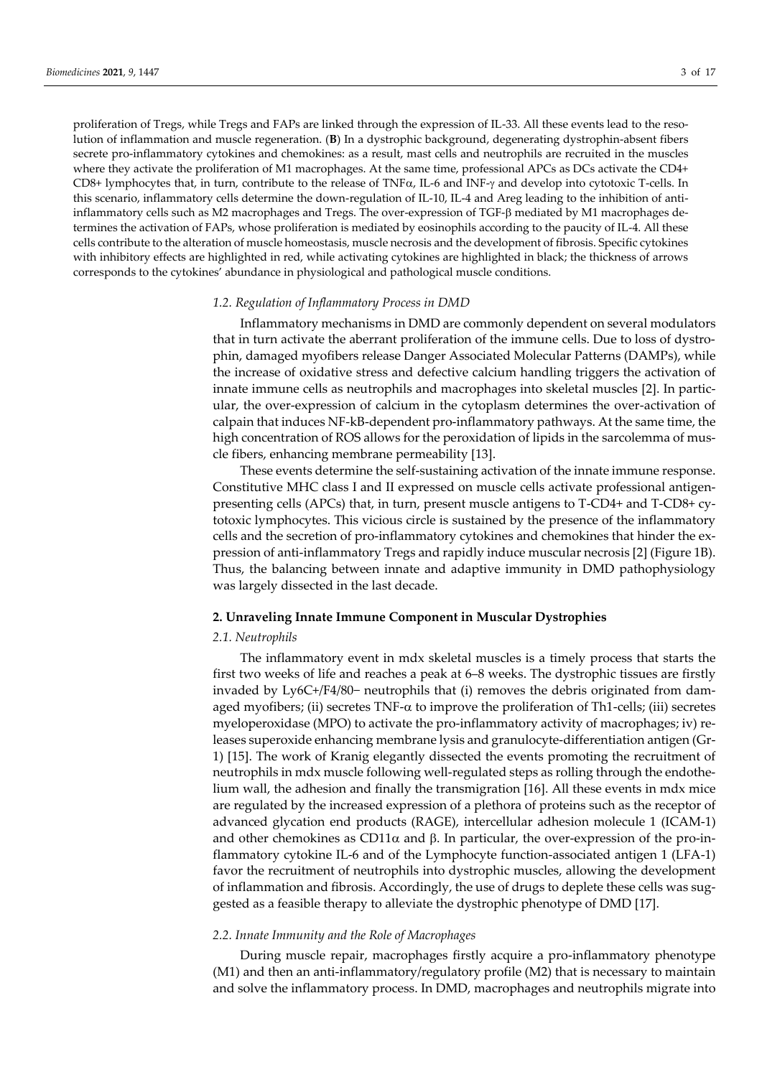proliferation of Tregs, while Tregs and FAPs are linked through the expression of IL-33. All these events lead to the resolution of inflammation and muscle regeneration. (**B**) In a dystrophic background, degenerating dystrophin-absent fibers secrete pro-inflammatory cytokines and chemokines: as a result, mast cells and neutrophils are recruited in the muscles where they activate the proliferation of M1 macrophages. At the same time, professional APCs as DCs activate the CD4+ CD8+ lymphocytes that, in turn, contribute to the release of TNF $\alpha$ , IL-6 and INF- $\gamma$  and develop into cytotoxic T-cells. In this scenario, inflammatory cells determine the down-regulation of IL-10, IL-4 and Areg leading to the inhibition of antiinflammatory cells such as M2 macrophages and Tregs. The over-expression of TGF- $\beta$  mediated by M1 macrophages determines the activation of FAPs, whose proliferation is mediated by eosinophils according to the paucity of IL-4. All these cells contribute to the alteration of muscle homeostasis, muscle necrosis and the development of fibrosis. Specific cytokines with inhibitory effects are highlighted in red, while activating cytokines are highlighted in black; the thickness of arrows corresponds to the cytokines' abundance in physiological and pathological muscle conditions.

#### *1.2. Regulation of Inflammatory Process in DMD*

Inflammatory mechanisms in DMD are commonly dependent on several modulators that in turn activate the aberrant proliferation of the immune cells. Due to loss of dystrophin, damaged myofibers release Danger Associated Molecular Patterns (DAMPs), while the increase of oxidative stress and defective calcium handling triggers the activation of innate immune cells as neutrophils and macrophages into skeletal muscles [2]. In particular, the over-expression of calcium in the cytoplasm determines the over-activation of calpain that induces NF-kB-dependent pro-inflammatory pathways. At the same time, the high concentration of ROS allows for the peroxidation of lipids in the sarcolemma of muscle fibers, enhancing membrane permeability [13].

These events determine the self-sustaining activation of the innate immune response. Constitutive MHC class I and II expressed on muscle cells activate professional antigenpresenting cells (APCs) that, in turn, present muscle antigens to T-CD4+ and T-CD8+ cytotoxic lymphocytes. This vicious circle is sustained by the presence of the inflammatory cells and the secretion of pro-inflammatory cytokines and chemokines that hinder the expression of anti-inflammatory Tregs and rapidly induce muscular necrosis [2] (Figure 1B). Thus, the balancing between innate and adaptive immunity in DMD pathophysiology was largely dissected in the last decade.

## **2. Unraveling Innate Immune Component in Muscular Dystrophies**

#### *2.1. Neutrophils*

The inflammatory event in mdx skeletal muscles is a timely process that starts the first two weeks of life and reaches a peak at 6–8 weeks. The dystrophic tissues are firstly invaded by Ly6C+/F4/80− neutrophils that (i) removes the debris originated from damaged myofibers; (ii) secretes  $TNF-\alpha$  to improve the proliferation of Th1-cells; (iii) secretes myeloperoxidase (MPO) to activate the pro-inflammatory activity of macrophages; iv) releases superoxide enhancing membrane lysis and granulocyte-differentiation antigen (Gr-1) [15]. The work of Kranig elegantly dissected the events promoting the recruitment of neutrophils in mdx muscle following well-regulated steps as rolling through the endothelium wall, the adhesion and finally the transmigration [16]. All these events in mdx mice are regulated by the increased expression of a plethora of proteins such as the receptor of advanced glycation end products (RAGE), intercellular adhesion molecule 1 (ICAM-1) and other chemokines as CD11 $\alpha$  and  $\beta$ . In particular, the over-expression of the pro-inflammatory cytokine IL-6 and of the Lymphocyte function-associated antigen 1 (LFA-1) favor the recruitment of neutrophils into dystrophic muscles, allowing the development of inflammation and fibrosis. Accordingly, the use of drugs to deplete these cells was suggested as a feasible therapy to alleviate the dystrophic phenotype of DMD [17].

#### *2.2. Innate Immunity and the Role of Macrophages*

During muscle repair, macrophages firstly acquire a pro-inflammatory phenotype (M1) and then an anti-inflammatory/regulatory profile (M2) that is necessary to maintain and solve the inflammatory process. In DMD, macrophages and neutrophils migrate into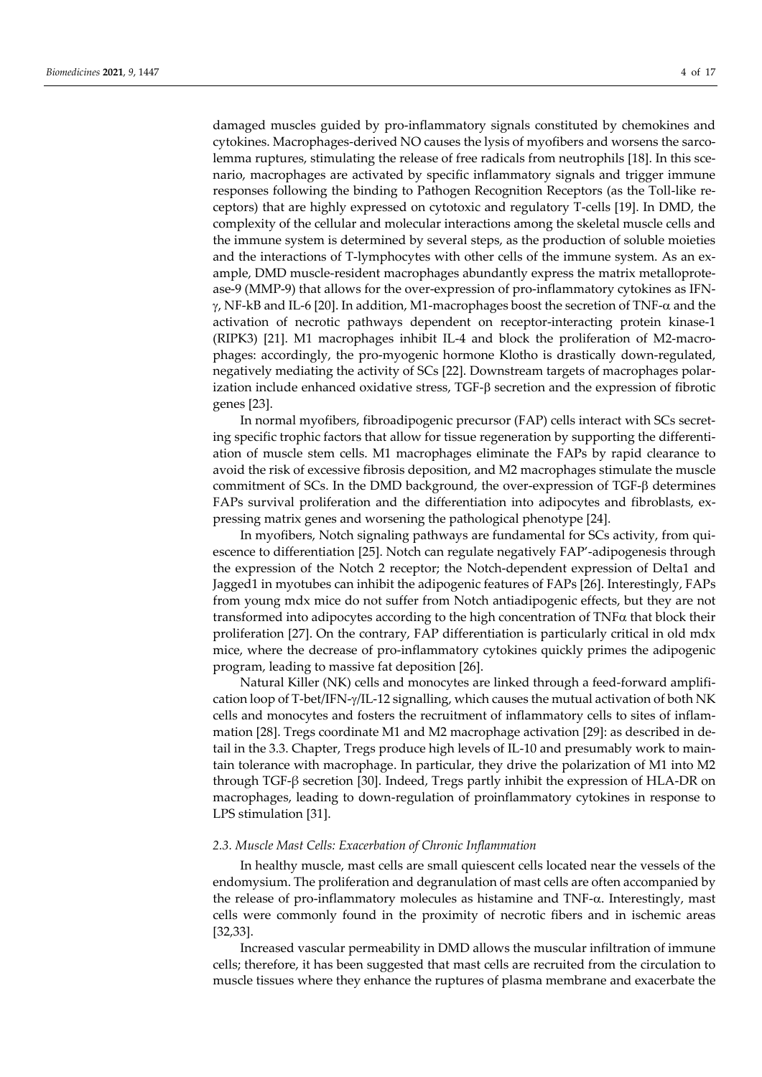damaged muscles guided by pro-inflammatory signals constituted by chemokines and cytokines. Macrophages-derived NO causes the lysis of myofibers and worsens the sarcolemma ruptures, stimulating the release of free radicals from neutrophils [18]. In this scenario, macrophages are activated by specific inflammatory signals and trigger immune responses following the binding to Pathogen Recognition Receptors (as the Toll-like receptors) that are highly expressed on cytotoxic and regulatory T-cells [19]. In DMD, the complexity of the cellular and molecular interactions among the skeletal muscle cells and the immune system is determined by several steps, as the production of soluble moieties and the interactions of T-lymphocytes with other cells of the immune system. As an example, DMD muscle-resident macrophages abundantly express the matrix metalloprotease-9 (MMP-9) that allows for the over-expression of pro-inflammatory cytokines as IFN-  $\gamma$ , NF-kB and IL-6 [20]. In addition, M1-macrophages boost the secretion of TNF- $\alpha$  and the activation of necrotic pathways dependent on receptor-interacting protein kinase-1 (RIPK3) [21]. M1 macrophages inhibit IL-4 and block the proliferation of M2-macrophages: accordingly, the pro-myogenic hormone Klotho is drastically down-regulated, negatively mediating the activity of SCs [22]. Downstream targets of macrophages polarization include enhanced oxidative stress,  $TGF-\beta$  secretion and the expression of fibrotic genes [23].

In normal myofibers, fibroadipogenic precursor (FAP) cells interact with SCs secreting specific trophic factors that allow for tissue regeneration by supporting the differentiation of muscle stem cells. M1 macrophages eliminate the FAPs by rapid clearance to avoid the risk of excessive fibrosis deposition, and M2 macrophages stimulate the muscle commitment of SCs. In the DMD background, the over-expression of TGF- $\beta$  determines FAPs survival proliferation and the differentiation into adipocytes and fibroblasts, expressing matrix genes and worsening the pathological phenotype [24].

In myofibers, Notch signaling pathways are fundamental for SCs activity, from quiescence to differentiation [25]. Notch can regulate negatively FAP'-adipogenesis through the expression of the Notch 2 receptor; the Notch-dependent expression of Delta1 and Jagged1 in myotubes can inhibit the adipogenic features of FAPs [26]. Interestingly, FAPs from young mdx mice do not suffer from Notch antiadipogenic effects, but they are not transformed into adipocytes according to the high concentration of  $TNF\alpha$  that block their proliferation [27]. On the contrary, FAP differentiation is particularly critical in old mdx mice, where the decrease of pro-inflammatory cytokines quickly primes the adipogenic program, leading to massive fat deposition [26].

Natural Killer (NK) cells and monocytes are linked through a feed-forward amplification loop of T-bet/IFN- $\gamma$ /IL-12 signalling, which causes the mutual activation of both NK cells and monocytes and fosters the recruitment of inflammatory cells to sites of inflammation [28]. Tregs coordinate M1 and M2 macrophage activation [29]: as described in detail in the 3.3. Chapter, Tregs produce high levels of IL-10 and presumably work to maintain tolerance with macrophage. In particular, they drive the polarization of M1 into M2 through TGF-β secretion [30]. Indeed, Tregs partly inhibit the expression of HLA-DR on macrophages, leading to down-regulation of proinflammatory cytokines in response to LPS stimulation [31].

## *2.3. Muscle Mast Cells: Exacerbation of Chronic Inflammation*

In healthy muscle, mast cells are small quiescent cells located near the vessels of the endomysium. The proliferation and degranulation of mast cells are often accompanied by the release of pro-inflammatory molecules as histamine and  $TNF-\alpha$ . Interestingly, mast cells were commonly found in the proximity of necrotic fibers and in ischemic areas [32,33].

Increased vascular permeability in DMD allows the muscular infiltration of immune cells; therefore, it has been suggested that mast cells are recruited from the circulation to muscle tissues where they enhance the ruptures of plasma membrane and exacerbate the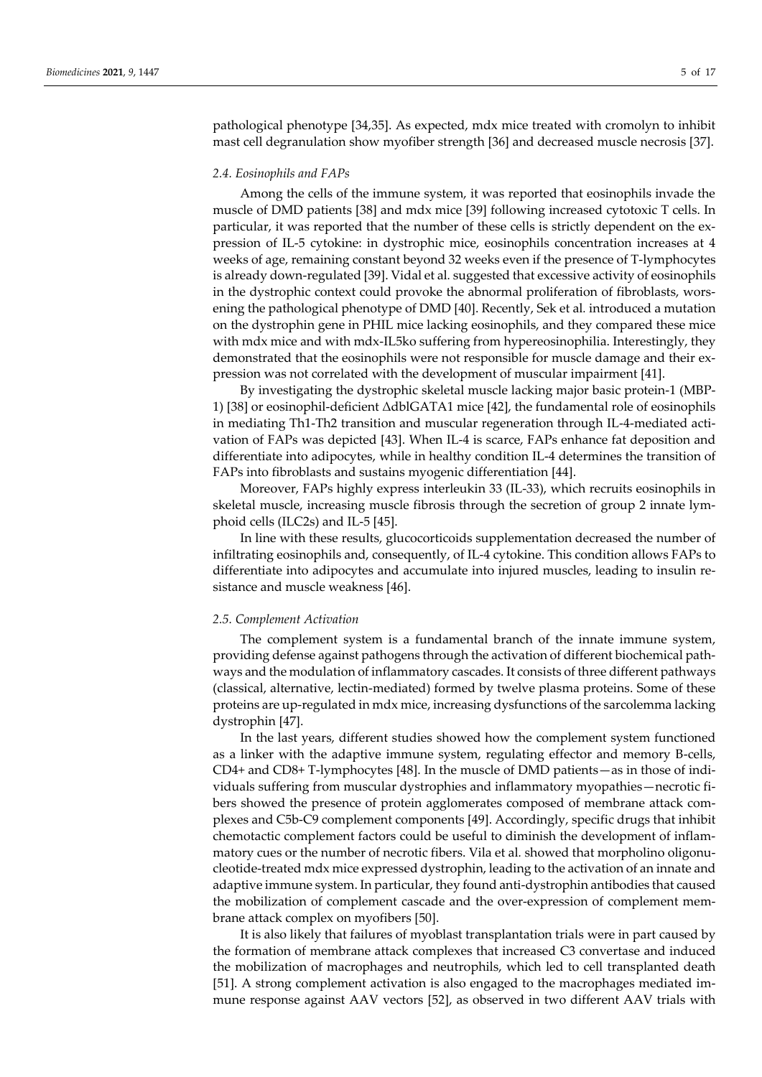pathological phenotype [34,35]. As expected, mdx mice treated with cromolyn to inhibit mast cell degranulation show myofiber strength [36] and decreased muscle necrosis [37].

## *2.4. Eosinophils and FAPs*

Among the cells of the immune system, it was reported that eosinophils invade the muscle of DMD patients [38] and mdx mice [39] following increased cytotoxic T cells. In particular, it was reported that the number of these cells is strictly dependent on the expression of IL-5 cytokine: in dystrophic mice, eosinophils concentration increases at 4 weeks of age, remaining constant beyond 32 weeks even if the presence of T-lymphocytes is already down-regulated [39]. Vidal et al*.* suggested that excessive activity of eosinophils in the dystrophic context could provoke the abnormal proliferation of fibroblasts, worsening the pathological phenotype of DMD [40]. Recently, Sek et al*.* introduced a mutation on the dystrophin gene in PHIL mice lacking eosinophils, and they compared these mice with mdx mice and with mdx-IL5ko suffering from hypereosinophilia. Interestingly, they demonstrated that the eosinophils were not responsible for muscle damage and their expression was not correlated with the development of muscular impairment [41].

By investigating the dystrophic skeletal muscle lacking major basic protein-1 (MBP-1) [38] or eosinophil-deficient ΔdblGATA1 mice [42], the fundamental role of eosinophils in mediating Th1-Th2 transition and muscular regeneration through IL-4-mediated activation of FAPs was depicted [43]. When IL-4 is scarce, FAPs enhance fat deposition and differentiate into adipocytes, while in healthy condition IL-4 determines the transition of FAPs into fibroblasts and sustains myogenic differentiation [44].

Moreover, FAPs highly express interleukin 33 (IL-33), which recruits eosinophils in skeletal muscle, increasing muscle fibrosis through the secretion of group 2 innate lymphoid cells (ILC2s) and IL-5 [45].

In line with these results, glucocorticoids supplementation decreased the number of infiltrating eosinophils and, consequently, of IL-4 cytokine. This condition allows FAPs to differentiate into adipocytes and accumulate into injured muscles, leading to insulin resistance and muscle weakness [46].

#### *2.5. Complement Activation*

The complement system is a fundamental branch of the innate immune system, providing defense against pathogens through the activation of different biochemical pathways and the modulation of inflammatory cascades. It consists of three different pathways (classical, alternative, lectin-mediated) formed by twelve plasma proteins. Some of these proteins are up-regulated in mdx mice, increasing dysfunctions of the sarcolemma lacking dystrophin [47].

In the last years, different studies showed how the complement system functioned as a linker with the adaptive immune system, regulating effector and memory B-cells, CD4+ and CD8+ T-lymphocytes [48]. In the muscle of DMD patients—as in those of individuals suffering from muscular dystrophies and inflammatory myopathies—necrotic fibers showed the presence of protein agglomerates composed of membrane attack complexes and C5b-C9 complement components [49]. Accordingly, specific drugs that inhibit chemotactic complement factors could be useful to diminish the development of inflammatory cues or the number of necrotic fibers. Vila et al*.* showed that morpholino oligonucleotide-treated mdx mice expressed dystrophin, leading to the activation of an innate and adaptive immune system. In particular, they found anti-dystrophin antibodies that caused the mobilization of complement cascade and the over-expression of complement membrane attack complex on myofibers [50].

It is also likely that failures of myoblast transplantation trials were in part caused by the formation of membrane attack complexes that increased C3 convertase and induced the mobilization of macrophages and neutrophils, which led to cell transplanted death [51]. A strong complement activation is also engaged to the macrophages mediated immune response against AAV vectors [52], as observed in two different AAV trials with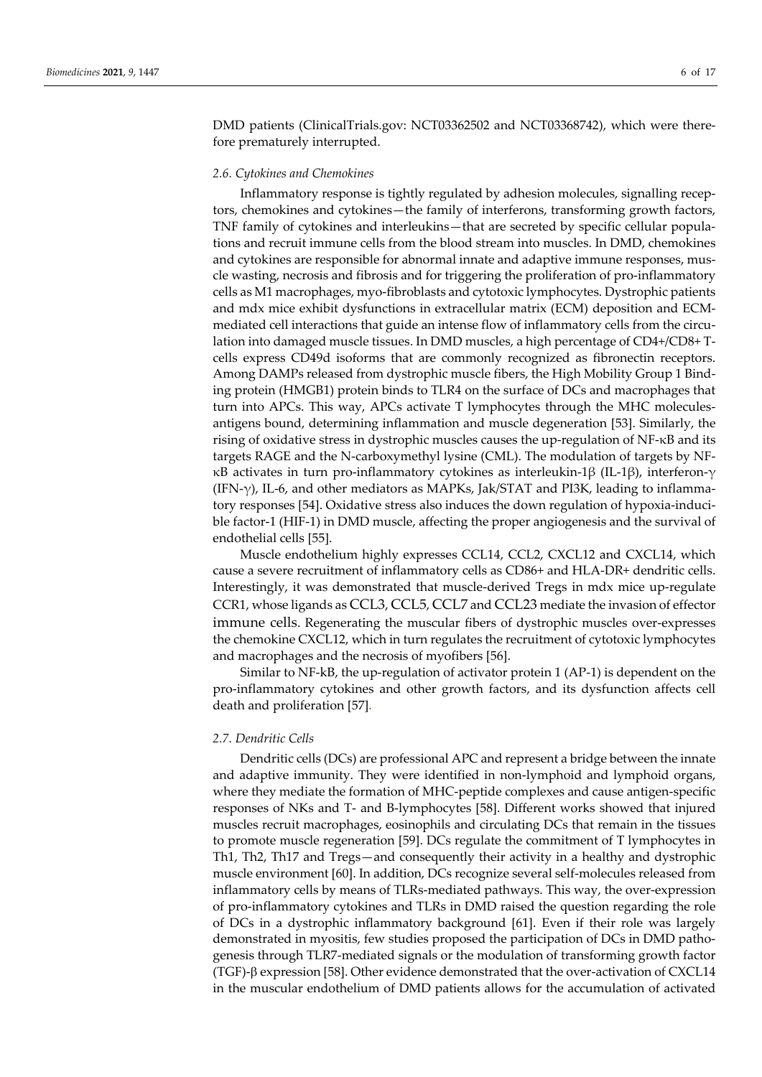DMD patients (ClinicalTrials.gov: NCT03362502 and NCT03368742), which were therefore prematurely interrupted.

## *2.6. Cytokines and Chemokines*

Inflammatory response is tightly regulated by adhesion molecules, signalling receptors, chemokines and cytokines—the family of interferons, transforming growth factors, TNF family of cytokines and interleukins—that are secreted by specific cellular populations and recruit immune cells from the blood stream into muscles. In DMD, chemokines and cytokines are responsible for abnormal innate and adaptive immune responses, muscle wasting, necrosis and fibrosis and for triggering the proliferation of pro-inflammatory cells as M1 macrophages, myo-fibroblasts and cytotoxic lymphocytes. Dystrophic patients and mdx mice exhibit dysfunctions in extracellular matrix (ECM) deposition and ECMmediated cell interactions that guide an intense flow of inflammatory cells from the circulation into damaged muscle tissues. In DMD muscles, a high percentage of CD4+/CD8+ Tcells express CD49d isoforms that are commonly recognized as fibronectin receptors. Among DAMPs released from dystrophic muscle fibers, the High Mobility Group 1 Binding protein (HMGB1) protein binds to TLR4 on the surface of DCs and macrophages that turn into APCs. This way, APCs activate T lymphocytes through the MHC moleculesantigens bound, determining inflammation and muscle degeneration [53]. Similarly, the rising of oxidative stress in dystrophic muscles causes the up-regulation of NF-κB and its targets RAGE and the N-carboxymethyl lysine (CML). The modulation of targets by NFκB activates in turn pro-inflammatory cytokines as interleukin-1β (IL-1β), interferon-γ (IFN-γ), IL-6, and other mediators as MAPKs, Jak/STAT and PI3K, leading to inflammatory responses [54]. Oxidative stress also induces the down regulation of hypoxia-inducible factor-1 (HIF-1) in DMD muscle, affecting the proper angiogenesis and the survival of endothelial cells [55].

Muscle endothelium highly expresses CCL14, CCL2, CXCL12 and CXCL14, which cause a severe recruitment of inflammatory cells as CD86+ and HLA-DR+ dendritic cells. Interestingly, it was demonstrated that muscle-derived Tregs in mdx mice up-regulate CCR1, whose ligands as [CCL3](https://en.wikipedia.org/wiki/CCL3), [CCL5](https://en.wikipedia.org/wiki/CCL5), [CCL7](https://en.wikipedia.org/wiki/CCL7) and [CCL23](https://en.wikipedia.org/wiki/CCL23) mediate the invasion of effector [immune cells](https://en.wikipedia.org/wiki/Immune_cell). Regenerating the muscular fibers of dystrophic muscles over-expresses the chemokine CXCL12, which in turn regulates the recruitment of cytotoxic lymphocytes and macrophages and the necrosis of myofibers [56].

Similar to NF-kB, the up-regulation of activator protein 1 (AP-1) is dependent on the pro-inflammatory cytokines and other growth factors, and its dysfunction affects cell death and proliferation [57].

#### *2.7. Dendritic Cells*

Dendritic cells (DCs) are professional APC and represent a bridge between the innate and adaptive immunity. They were identified in non-lymphoid and lymphoid organs, where they mediate the formation of MHC-peptide complexes and cause antigen-specific responses of NKs and T- and B-lymphocytes [58]. Different works showed that injured muscles recruit macrophages, eosinophils and circulating DCs that remain in the tissues to promote muscle regeneration [59]. DCs regulate the commitment of T lymphocytes in Th1, Th2, Th17 and Tregs—and consequently their activity in a healthy and dystrophic muscle environment [60]. In addition, DCs recognize several self-molecules released from inflammatory cells by means of TLRs-mediated pathways. This way, the over-expression of pro-inflammatory cytokines and TLRs in DMD raised the question regarding the role of DCs in a dystrophic inflammatory background [61]. Even if their role was largely demonstrated in myositis, few studies proposed the participation of DCs in DMD pathogenesis through TLR7-mediated signals or the modulation of transforming growth factor (TGF)- $\beta$  expression [58]. Other evidence demonstrated that the over-activation of CXCL14 in the muscular endothelium of DMD patients allows for the accumulation of activated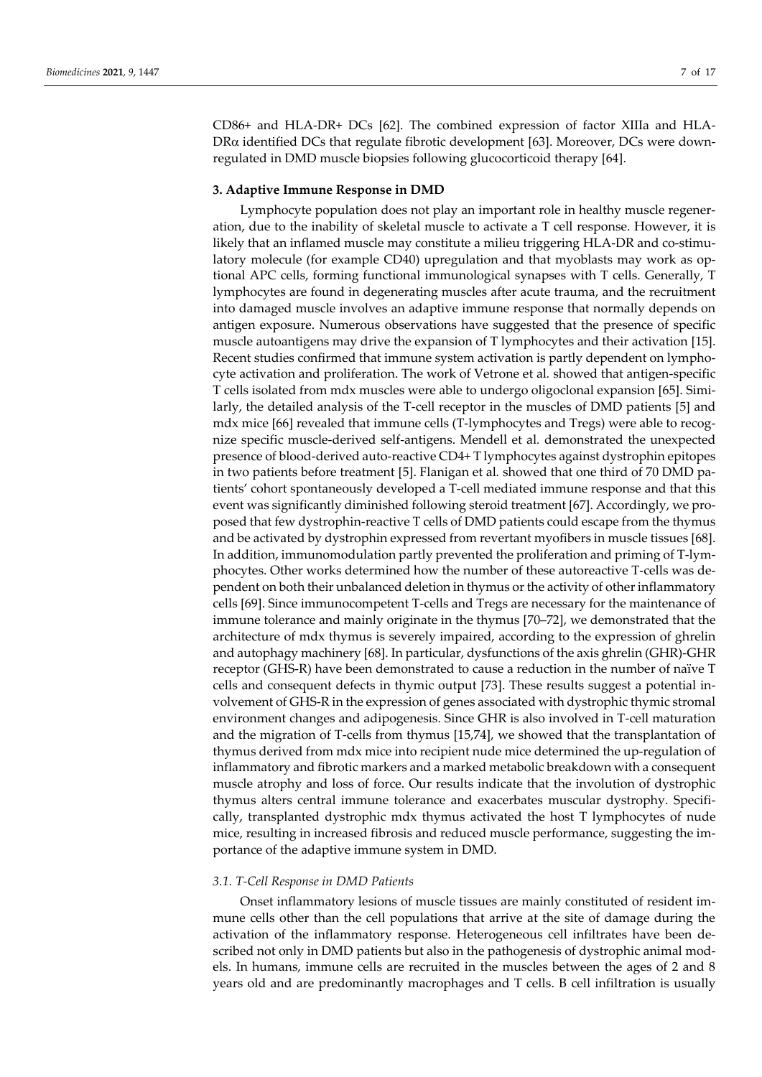CD86+ and HLA-DR+ DCs [62]. The combined expression of factor XIIIa and HLA- $DR\alpha$  identified DCs that regulate fibrotic development [63]. Moreover, DCs were downregulated in DMD muscle biopsies following glucocorticoid therapy [64].

## **3. Adaptive Immune Response in DMD**

Lymphocyte population does not play an important role in healthy muscle regeneration, due to the inability of skeletal muscle to activate a T cell response. However, it is likely that an inflamed muscle may constitute a milieu triggering HLA-DR and co-stimulatory molecule (for example CD40) upregulation and that myoblasts may work as optional APC cells, forming functional immunological synapses with T cells. Generally, T lymphocytes are found in degenerating muscles after acute trauma, and the recruitment into damaged muscle involves an adaptive immune response that normally depends on antigen exposure. Numerous observations have suggested that the presence of specific muscle autoantigens may drive the expansion of T lymphocytes and their activation [15]. Recent studies confirmed that immune system activation is partly dependent on lymphocyte activation and proliferation. The work of Vetrone et al*.* showed that antigen-specific T cells isolated from mdx muscles were able to undergo oligoclonal expansion [65]. Similarly, the detailed analysis of the T-cell receptor in the muscles of DMD patients [5] and mdx mice [66] revealed that immune cells (T-lymphocytes and Tregs) were able to recognize specific muscle-derived self-antigens. Mendell et al*.* demonstrated the unexpected presence of blood-derived auto-reactive CD4+ T lymphocytes against dystrophin epitopes in two patients before treatment [5]. Flanigan et al*.* showed that one third of 70 DMD patients' cohort spontaneously developed a T-cell mediated immune response and that this event was significantly diminished following steroid treatment [67]. Accordingly, we proposed that few dystrophin-reactive T cells of DMD patients could escape from the thymus and be activated by dystrophin expressed from revertant myofibers in muscle tissues [68]. In addition, immunomodulation partly prevented the proliferation and priming of T-lymphocytes. Other works determined how the number of these autoreactive T-cells was dependent on both their unbalanced deletion in thymus or the activity of other inflammatory cells [69]. Since immunocompetent T-cells and Tregs are necessary for the maintenance of immune tolerance and mainly originate in the thymus [70–72], we demonstrated that the architecture of mdx thymus is severely impaired, according to the expression of ghrelin and autophagy machinery [68]. In particular, dysfunctions of the axis ghrelin (GHR)-GHR receptor (GHS-R) have been demonstrated to cause a reduction in the number of naïve T cells and consequent defects in thymic output [73]. These results suggest a potential involvement of GHS-R in the expression of genes associated with dystrophic thymic stromal environment changes and adipogenesis. Since GHR is also involved in T-cell maturation and the migration of T-cells from thymus [15,74], we showed that the transplantation of thymus derived from mdx mice into recipient nude mice determined the up-regulation of inflammatory and fibrotic markers and a marked metabolic breakdown with a consequent muscle atrophy and loss of force. Our results indicate that the involution of dystrophic thymus alters central immune tolerance and exacerbates muscular dystrophy. Specifically, transplanted dystrophic mdx thymus activated the host T lymphocytes of nude mice, resulting in increased fibrosis and reduced muscle performance, suggesting the importance of the adaptive immune system in DMD.

#### *3.1. T-Cell Response in DMD Patients*

Onset inflammatory lesions of muscle tissues are mainly constituted of resident immune cells other than the cell populations that arrive at the site of damage during the activation of the inflammatory response. Heterogeneous cell infiltrates have been described not only in DMD patients but also in the pathogenesis of dystrophic animal models. In humans, immune cells are recruited in the muscles between the ages of 2 and 8 years old and are predominantly macrophages and T cells. B cell infiltration is usually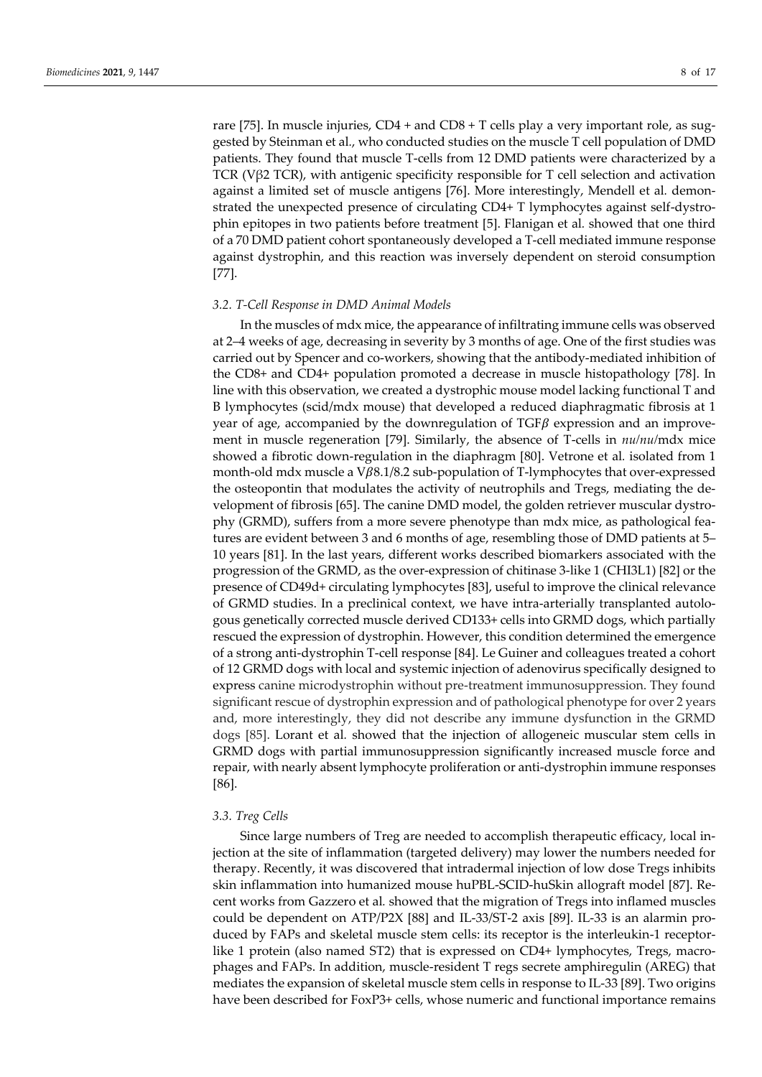rare [75]. In muscle injuries, CD4 + and CD8 + T cells play a very important role, as suggested by Steinman et al*.*, who conducted studies on the muscle T cell population of DMD patients. They found that muscle T-cells from 12 DMD patients were characterized by a TCR (V $\beta$ 2 TCR), with antigenic specificity responsible for T cell selection and activation against a limited set of muscle antigens [76]. More interestingly, Mendell et al*.* demonstrated the unexpected presence of circulating CD4+ T lymphocytes against self-dystrophin epitopes in two patients before treatment [5]. Flanigan et al*.* showed that one third of a 70 DMD patient cohort spontaneously developed a T-cell mediated immune response against dystrophin, and this reaction was inversely dependent on steroid consumption [77].

#### *3.2. T-Cell Response in DMD Animal Models*

In the muscles of mdx mice, the appearance of infiltrating immune cells was observed at 2–4 weeks of age, decreasing in severity by 3 months of age. One of the first studies was carried out by Spencer and co-workers, showing that the antibody-mediated inhibition of the CD8+ and CD4+ population promoted a decrease in muscle histopathology [78]. In line with this observation, we created a dystrophic mouse model lacking functional T and B lymphocytes (scid/mdx mouse) that developed a reduced diaphragmatic fibrosis at 1 year of age, accompanied by the downregulation of  $TGF\beta$  expression and an improvement in muscle regeneration [79]. Similarly, the absence of T-cells in *nu/nu/*mdx mice showed a fibrotic down-regulation in the diaphragm [80]. Vetrone et al*.* isolated from 1 month-old mdx muscle a  $V\beta 8.1/8.2$  sub-population of T-lymphocytes that over-expressed the osteopontin that modulates the activity of neutrophils and Tregs, mediating the development of fibrosis [65]. The canine DMD model, the golden retriever muscular dystrophy (GRMD), suffers from a more severe phenotype than mdx mice, as pathological features are evident between 3 and 6 months of age, resembling those of DMD patients at 5– 10 years [81]. In the last years, different works described biomarkers associated with the progression of the GRMD, as the over-expression of chitinase 3-like 1 (CHI3L1) [82] or the presence of CD49d+ circulating lymphocytes [83], useful to improve the clinical relevance of GRMD studies. In a preclinical context, we have intra-arterially transplanted autologous genetically corrected muscle derived CD133+ cells into GRMD dogs, which partially rescued the expression of dystrophin. However, this condition determined the emergence of a strong anti-dystrophin T-cell response [84]. Le Guiner and colleagues treated a cohort of 12 GRMD dogs with local and systemic injection of adenovirus specifically designed to express canine microdystrophin without pre-treatment immunosuppression. They found significant rescue of dystrophin expression and of pathological phenotype for over 2 years and, more interestingly, they did not describe any immune dysfunction in the GRMD dogs [85]. Lorant et al*.* showed that the injection of allogeneic muscular stem cells in GRMD dogs with partial immunosuppression significantly increased muscle force and repair, with nearly absent lymphocyte proliferation or anti-dystrophin immune responses [86].

## *3.3. Treg Cells*

Since large numbers of Treg are needed to accomplish therapeutic efficacy, local injection at the site of inflammation (targeted delivery) may lower the numbers needed for therapy. Recently, it was discovered that intradermal injection of low dose Tregs inhibits skin inflammation into humanized mouse huPBL-SCID-huSkin allograft model [87]. Recent works from Gazzero et al*.* showed that the migration of Tregs into inflamed muscles could be dependent on ATP/P2X [88] and IL-33/ST-2 axis [89]. IL-33 is an alarmin produced by FAPs and skeletal muscle stem cells: its receptor is the interleukin-1 receptorlike 1 protein (also named ST2) that is expressed on CD4+ lymphocytes, Tregs, macrophages and FAPs. In addition, muscle-resident T regs secrete amphiregulin (AREG) that mediates the expansion of skeletal muscle stem cells in response to IL-33 [89]. Two origins have been described for FoxP3+ cells, whose numeric and functional importance remains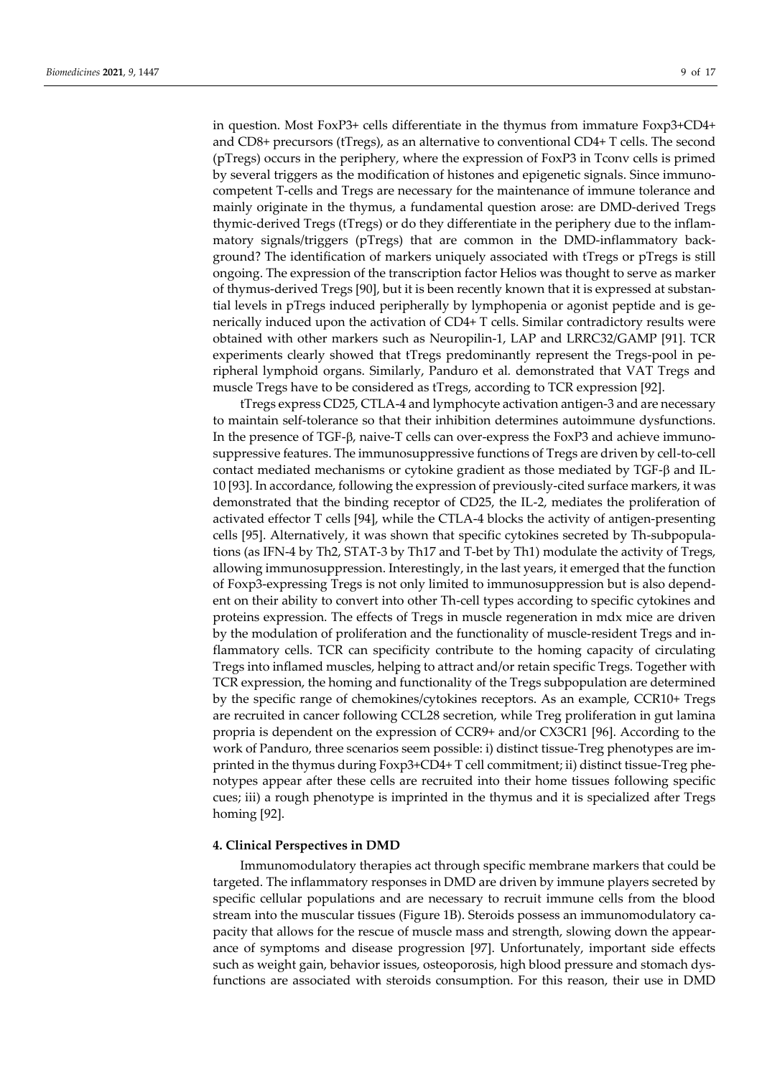in question. Most FoxP3+ cells differentiate in the thymus from immature Foxp3+CD4+ and CD8+ precursors (tTregs), as an alternative to conventional CD4+ T cells. The second (pTregs) occurs in the periphery, where the expression of FoxP3 in Tconv cells is primed by several triggers as the modification of histones and epigenetic signals. Since immunocompetent T-cells and Tregs are necessary for the maintenance of immune tolerance and mainly originate in the thymus, a fundamental question arose: are DMD-derived Tregs thymic-derived Tregs (tTregs) or do they differentiate in the periphery due to the inflammatory signals/triggers (pTregs) that are common in the DMD-inflammatory background? The identification of markers uniquely associated with tTregs or pTregs is still ongoing. The expression of the transcription factor Helios was thought to serve as marker of thymus-derived Tregs [90], but it is been recently known that it is expressed at substantial levels in pTregs induced peripherally by lymphopenia or agonist peptide and is generically induced upon the activation of CD4+ T cells. Similar contradictory results were obtained with other markers such as Neuropilin-1, LAP and LRRC32/GAMP [91]. TCR experiments clearly showed that tTregs predominantly represent the Tregs-pool in peripheral lymphoid organs. Similarly, Panduro et al*.* demonstrated that VAT Tregs and muscle Tregs have to be considered as tTregs, according to TCR expression [92].

tTregs express CD25, CTLA-4 and lymphocyte activation antigen-3 and are necessary to maintain self-tolerance so that their inhibition determines autoimmune dysfunctions. In the presence of  $TGF- $\beta$ , naive-T cells can over-express the FoxP3 and achieve immuno$ suppressive features. The immunosuppressive functions of Tregs are driven by cell-to-cell contact mediated mechanisms or cytokine gradient as those mediated by  $TGF-\beta$  and IL-10 [93]. In accordance, following the expression of previously-cited surface markers, it was demonstrated that the binding receptor of CD25, the IL-2, mediates the proliferation of activated effector T cells [94], while the CTLA-4 blocks the activity of antigen-presenting cells [95]. Alternatively, it was shown that specific cytokines secreted by Th-subpopulations (as IFN-4 by Th2, STAT-3 by Th17 and T-bet by Th1) modulate the activity of Tregs, allowing immunosuppression. Interestingly, in the last years, it emerged that the function of Foxp3-expressing Tregs is not only limited to immunosuppression but is also dependent on their ability to convert into other Th-cell types according to specific cytokines and proteins expression. The effects of Tregs in muscle regeneration in mdx mice are driven by the modulation of proliferation and the functionality of muscle-resident Tregs and inflammatory cells. TCR can specificity contribute to the homing capacity of circulating Tregs into inflamed muscles, helping to attract and/or retain specific Tregs. Together with TCR expression, the homing and functionality of the Tregs subpopulation are determined by the specific range of chemokines/cytokines receptors. As an example, CCR10+ Tregs are recruited in cancer following CCL28 secretion, while Treg proliferation in gut lamina propria is dependent on the expression of CCR9+ and/or CX3CR1 [96]. According to the work of Panduro, three scenarios seem possible: i) distinct tissue-Treg phenotypes are imprinted in the thymus during Foxp3+CD4+ T cell commitment; ii) distinct tissue-Treg phenotypes appear after these cells are recruited into their home tissues following specific cues; iii) a rough phenotype is imprinted in the thymus and it is specialized after Tregs homing [92].

## **4. Clinical Perspectives in DMD**

Immunomodulatory therapies act through specific membrane markers that could be targeted. The inflammatory responses in DMD are driven by immune players secreted by specific cellular populations and are necessary to recruit immune cells from the blood stream into the muscular tissues (Figure 1B). Steroids possess an immunomodulatory capacity that allows for the rescue of muscle mass and strength, slowing down the appearance of symptoms and disease progression [97]. Unfortunately, important side effects such as weight gain, behavior issues, osteoporosis, high blood pressure and stomach dysfunctions are associated with steroids consumption. For this reason, their use in DMD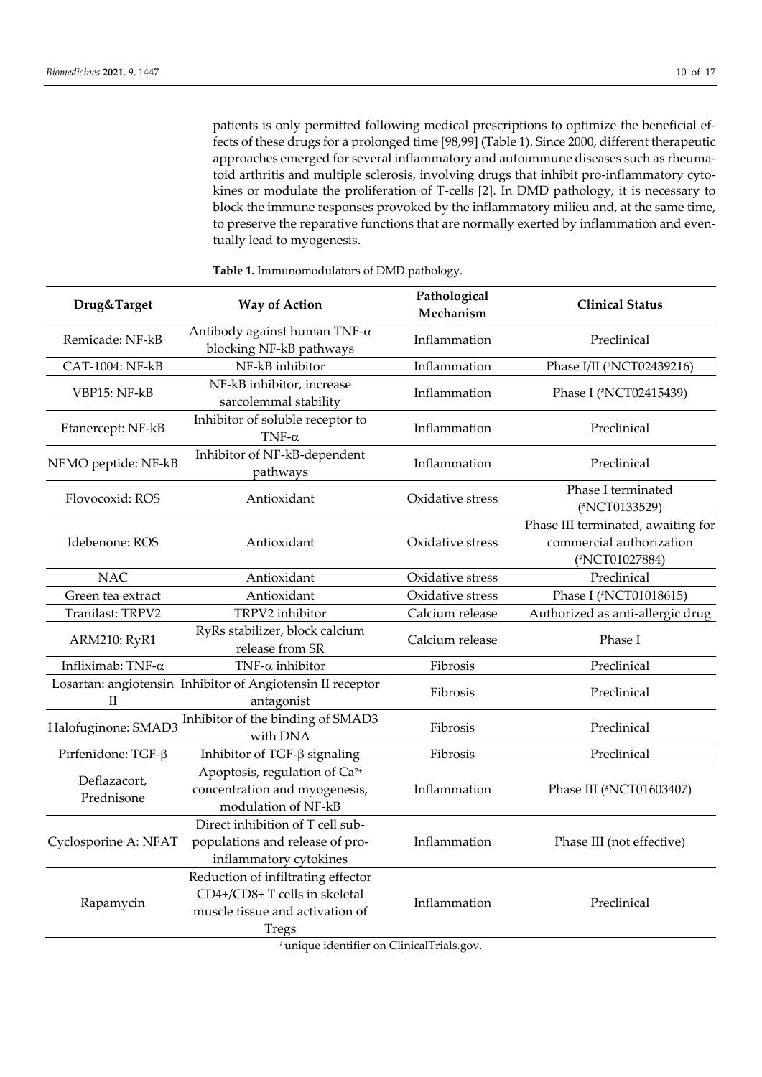patients is only permitted following medical prescriptions to optimize the beneficial effects of these drugs for a prolonged time [98,99] (Table 1). Since 2000, different therapeutic approaches emerged for several inflammatory and autoimmune diseases such as rheumatoid arthritis and multiple sclerosis, involving drugs that inhibit pro-inflammatory cytokines or modulate the proliferation of T-cells [2]. In DMD pathology, it is necessary to block the immune responses provoked by the inflammatory milieu and, at the same time, to preserve the reparative functions that are normally exerted by inflammation and eventually lead to myogenesis.

| Drug&Target                | <b>Way of Action</b>                                                                                                                                               | Pathological<br>Mechanism | <b>Clinical Status</b>                                                           |
|----------------------------|--------------------------------------------------------------------------------------------------------------------------------------------------------------------|---------------------------|----------------------------------------------------------------------------------|
| Remicade: NF-kB            | Antibody against human TNF- $\alpha$<br>blocking NF-kB pathways                                                                                                    | Inflammation              | Preclinical                                                                      |
| CAT-1004: NF-kB            | NF-kB inhibitor                                                                                                                                                    | Inflammation              | Phase I/II (#NCT02439216)                                                        |
| VBP15: NF-kB               | NF-kB inhibitor, increase<br>sarcolemmal stability                                                                                                                 | Inflammation              | Phase I (#NCT02415439)                                                           |
| Etanercept: NF-kB          | Inhibitor of soluble receptor to<br>TNF- $\alpha$                                                                                                                  | Inflammation              | Preclinical                                                                      |
| NEMO peptide: NF-kB        | Inhibitor of NF-kB-dependent<br>pathways                                                                                                                           | Inflammation              | Preclinical                                                                      |
| Flovocoxid: ROS            | Antioxidant                                                                                                                                                        | Oxidative stress          | Phase I terminated<br>(#NCT0133529)                                              |
| Idebenone: ROS             | Antioxidant                                                                                                                                                        | Oxidative stress          | Phase III terminated, awaiting for<br>commercial authorization<br>(#NCT01027884) |
| <b>NAC</b>                 | Antioxidant                                                                                                                                                        | Oxidative stress          | Preclinical                                                                      |
| Green tea extract          | Antioxidant                                                                                                                                                        | Oxidative stress          | Phase I (#NCT01018615)                                                           |
| Tranilast: TRPV2           | TRPV2 inhibitor                                                                                                                                                    | Calcium release           | Authorized as anti-allergic drug                                                 |
| <b>ARM210: RyR1</b>        | RyRs stabilizer, block calcium<br>release from SR                                                                                                                  | Calcium release           | Phase I                                                                          |
| Infliximab: TNF-α          | TNF- $\alpha$ inhibitor                                                                                                                                            | Fibrosis                  | Preclinical                                                                      |
| $_{\rm II}$                | Losartan: angiotensin Inhibitor of Angiotensin II receptor<br>antagonist                                                                                           | Fibrosis                  | Preclinical                                                                      |
| Halofuginone: SMAD3        | Inhibitor of the binding of SMAD3<br>with DNA                                                                                                                      | Fibrosis                  | Preclinical                                                                      |
| Pirfenidone: TGF-ß         | Inhibitor of TGF- $\beta$ signaling                                                                                                                                | Fibrosis                  | Preclinical                                                                      |
| Deflazacort,<br>Prednisone | Apoptosis, regulation of Ca <sup>2+</sup><br>concentration and myogenesis,<br>modulation of NF-kB                                                                  | Inflammation              | Phase III (#NCT01603407)                                                         |
| Cyclosporine A: NFAT       | Direct inhibition of T cell sub-<br>populations and release of pro-<br>inflammatory cytokines                                                                      | Inflammation              | Phase III (not effective)                                                        |
| Rapamycin                  | Reduction of infiltrating effector<br>CD4+/CD8+T cells in skeletal<br>muscle tissue and activation of<br><b>Tregs</b><br>#unique identifier on ClinicalTrials.gov. | Inflammation              | Preclinical                                                                      |

**Table 1.** Immunomodulators of DMD pathology.

# unique identifier on ClinicalTrials.gov.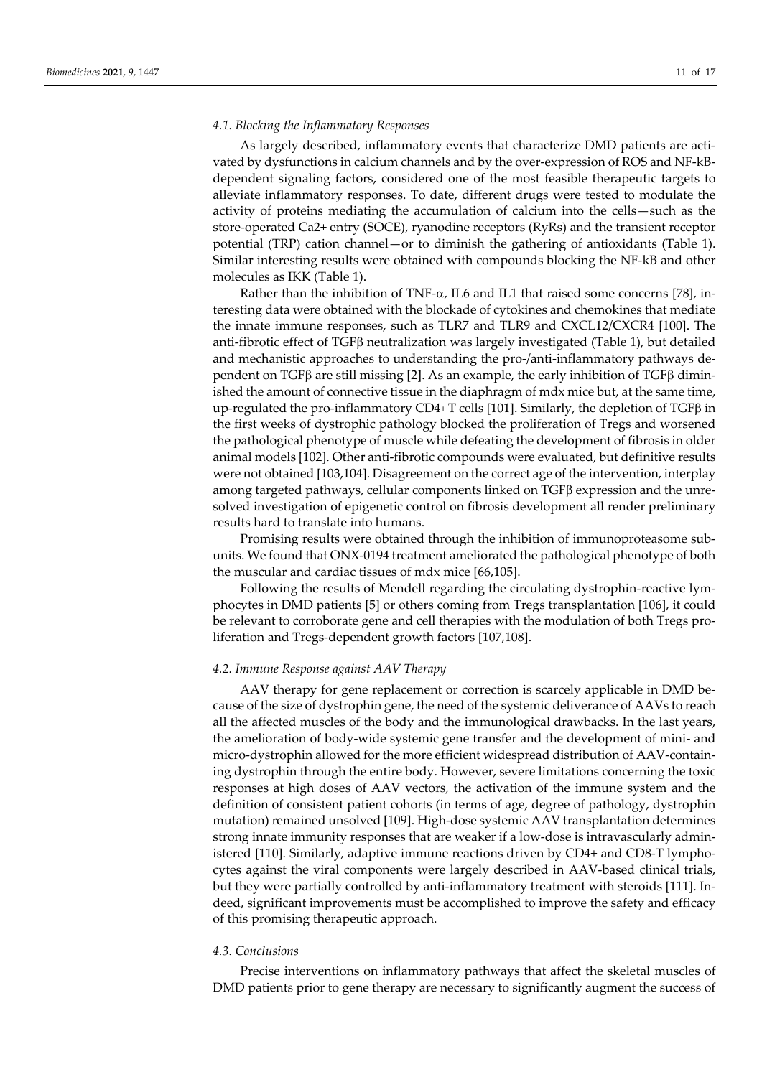#### *4.1. Blocking the Inflammatory Responses*

As largely described, inflammatory events that characterize DMD patients are activated by dysfunctions in calcium channels and by the over-expression of ROS and NF-kBdependent signaling factors, considered one of the most feasible therapeutic targets to alleviate inflammatory responses. To date, different drugs were tested to modulate the activity of proteins mediating the accumulation of calcium into the cells—such as the store-operated Ca2+ entry (SOCE), ryanodine receptors (RyRs) and the transient receptor potential (TRP) cation channel—or to diminish the gathering of antioxidants (Table 1). Similar interesting results were obtained with compounds blocking the NF-kB and other molecules as IKK (Table 1).

Rather than the inhibition of TNF- $\alpha$ , IL6 and IL1 that raised some concerns [78], interesting data were obtained with the blockade of cytokines and chemokines that mediate the innate immune responses, such as TLR7 and TLR9 and CXCL12/CXCR4 [100]. The anti-fibrotic effect of TGF $\beta$  neutralization was largely investigated (Table 1), but detailed and mechanistic approaches to understanding the pro-/anti-inflammatory pathways dependent on TGF $\beta$  are still missing [2]. As an example, the early inhibition of TGF $\beta$  diminished the amount of connective tissue in the diaphragm of mdx mice but, at the same time, up-regulated the pro-inflammatory  $CD4+T$  cells [101]. Similarly, the depletion of  $TGF\beta$  in the first weeks of dystrophic pathology blocked the proliferation of Tregs and worsened the pathological phenotype of muscle while defeating the development of fibrosis in older animal models [102]. Other anti-fibrotic compounds were evaluated, but definitive results were not obtained [103,104]. Disagreement on the correct age of the intervention, interplay among targeted pathways, cellular components linked on  $TGF\beta$  expression and the unresolved investigation of epigenetic control on fibrosis development all render preliminary results hard to translate into humans.

Promising results were obtained through the inhibition of immunoproteasome subunits. We found that ONX-0194 treatment ameliorated the pathological phenotype of both the muscular and cardiac tissues of mdx mice [66,105].

Following the results of Mendell regarding the circulating dystrophin-reactive lymphocytes in DMD patients [5] or others coming from Tregs transplantation [106], it could be relevant to corroborate gene and cell therapies with the modulation of both Tregs proliferation and Tregs-dependent growth factors [107,108].

#### *4.2. Immune Response against AAV Therapy*

AAV therapy for gene replacement or correction is scarcely applicable in DMD because of the size of dystrophin gene, the need of the systemic deliverance of AAVs to reach all the affected muscles of the body and the immunological drawbacks. In the last years, the amelioration of body-wide systemic gene transfer and the development of mini- and micro-dystrophin allowed for the more efficient widespread distribution of AAV-containing dystrophin through the entire body. However, severe limitations concerning the toxic responses at high doses of AAV vectors, the activation of the immune system and the definition of consistent patient cohorts (in terms of age, degree of pathology, dystrophin mutation) remained unsolved [109]. High-dose systemic AAV transplantation determines strong innate immunity responses that are weaker if a low-dose is intravascularly administered [110]. Similarly, adaptive immune reactions driven by CD4+ and CD8-T lymphocytes against the viral components were largely described in AAV-based clinical trials, but they were partially controlled by anti-inflammatory treatment with steroids [111]. Indeed, significant improvements must be accomplished to improve the safety and efficacy of this promising therapeutic approach.

#### *4.3. Conclusions*

Precise interventions on inflammatory pathways that affect the skeletal muscles of DMD patients prior to gene therapy are necessary to significantly augment the success of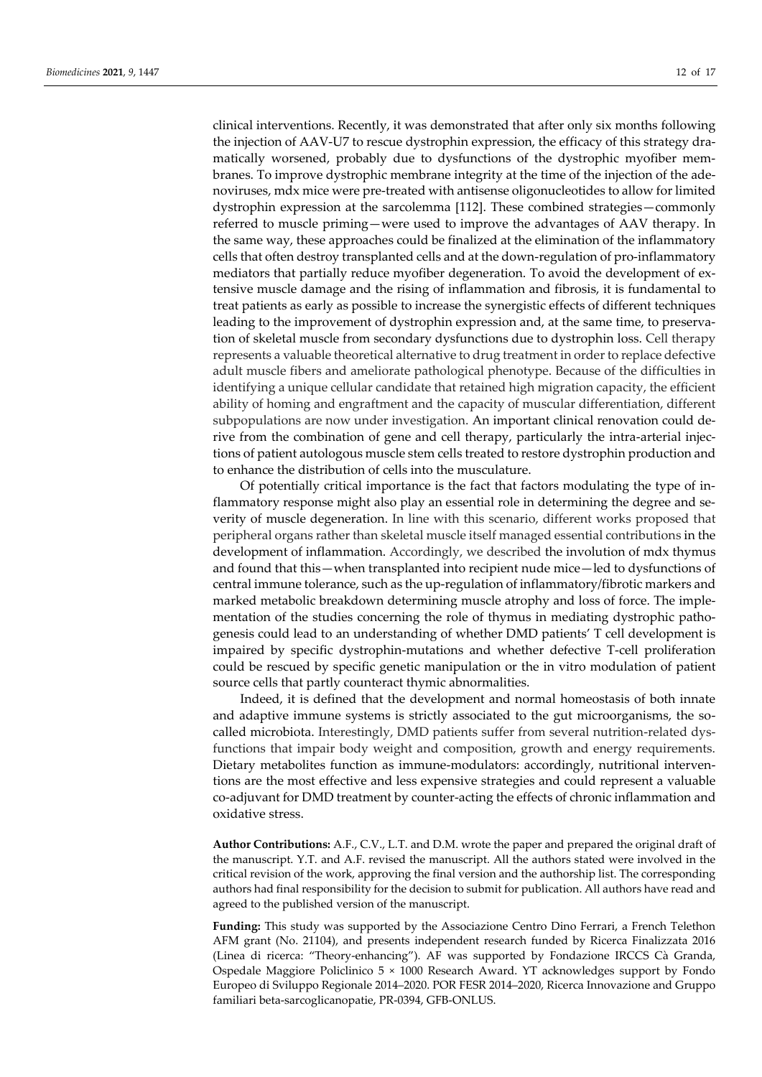clinical interventions. Recently, it was demonstrated that after only six months following the injection of AAV-U7 to rescue dystrophin expression, the efficacy of this strategy dramatically worsened, probably due to dysfunctions of the dystrophic myofiber membranes. To improve dystrophic membrane integrity at the time of the injection of the adenoviruses, mdx mice were pre-treated with antisense oligonucleotides to allow for limited dystrophin expression at the sarcolemma [112]. These combined strategies—commonly referred to muscle priming—were used to improve the advantages of AAV therapy. In the same way, these approaches could be finalized at the elimination of the inflammatory cells that often destroy transplanted cells and at the down-regulation of pro-inflammatory mediators that partially reduce myofiber degeneration. To avoid the development of extensive muscle damage and the rising of inflammation and fibrosis, it is fundamental to treat patients as early as possible to increase the synergistic effects of different techniques leading to the improvement of dystrophin expression and, at the same time, to preservation of skeletal muscle from secondary dysfunctions due to dystrophin loss. Cell therapy represents a valuable theoretical alternative to drug treatment in order to replace defective adult muscle fibers and ameliorate pathological phenotype. Because of the difficulties in identifying a unique cellular candidate that retained high migration capacity, the efficient ability of homing and engraftment and the capacity of muscular differentiation, different subpopulations are now under investigation. An important clinical renovation could derive from the combination of gene and cell therapy, particularly the intra-arterial injections of patient autologous muscle stem cells treated to restore dystrophin production and to enhance the distribution of cells into the musculature.

Of potentially critical importance is the fact that factors modulating the type of inflammatory response might also play an essential role in determining the degree and severity of muscle degeneration. In line with this scenario, different works proposed that peripheral organs rather than skeletal muscle itself managed essential contributions in the development of inflammation. Accordingly, we described the involution of mdx thymus and found that this—when transplanted into recipient nude mice—led to dysfunctions of central immune tolerance, such as the up-regulation of inflammatory/fibrotic markers and marked metabolic breakdown determining muscle atrophy and loss of force. The implementation of the studies concerning the role of thymus in mediating dystrophic pathogenesis could lead to an understanding of whether DMD patients' T cell development is impaired by specific dystrophin-mutations and whether defective T-cell proliferation could be rescued by specific genetic manipulation or the in vitro modulation of patient source cells that partly counteract thymic abnormalities.

Indeed, it is defined that the development and normal homeostasis of both innate and adaptive immune systems is strictly associated to the gut microorganisms, the socalled microbiota. Interestingly, DMD patients suffer from several nutrition-related dysfunctions that impair body weight and composition, growth and energy requirements. Dietary metabolites function as immune-modulators: accordingly, nutritional interventions are the most effective and less expensive strategies and could represent a valuable co-adjuvant for DMD treatment by counter-acting the effects of chronic inflammation and oxidative stress.

**Author Contributions:** A.F., C.V., L.T. and D.M. wrote the paper and prepared the original draft of the manuscript. Y.T. and A.F. revised the manuscript. All the authors stated were involved in the critical revision of the work, approving the final version and the authorship list. The corresponding authors had final responsibility for the decision to submit for publication. All authors have read and agreed to the published version of the manuscript.

**Funding:** This study was supported by the Associazione Centro Dino Ferrari, a French Telethon AFM grant (No. 21104), and presents independent research funded by Ricerca Finalizzata 2016 (Linea di ricerca: "Theory-enhancing"). AF was supported by Fondazione IRCCS Cà Granda, Ospedale Maggiore Policlinico 5 × 1000 Research Award. YT acknowledges support by Fondo Europeo di Sviluppo Regionale 2014–2020. POR FESR 2014–2020, Ricerca Innovazione and Gruppo familiari beta-sarcoglicanopatie, PR-0394, GFB-ONLUS.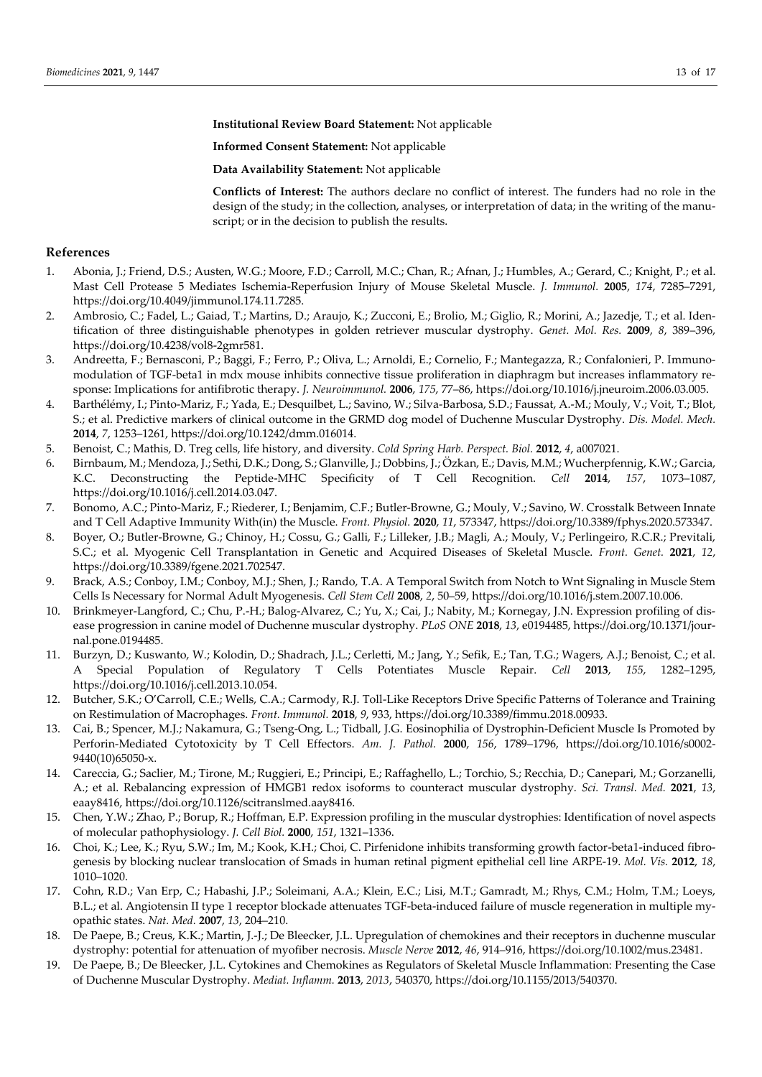**Institutional Review Board Statement:** Not applicable

**Informed Consent Statement:** Not applicable

**Data Availability Statement:** Not applicable

**Conflicts of Interest:** The authors declare no conflict of interest. The funders had no role in the design of the study; in the collection, analyses, or interpretation of data; in the writing of the manuscript; or in the decision to publish the results.

## **References**

- 1. Abonia, J.; Friend, D.S.; Austen, W.G.; Moore, F.D.; Carroll, M.C.; Chan, R.; Afnan, J.; Humbles, A.; Gerard, C.; Knight, P.; et al. Mast Cell Protease 5 Mediates Ischemia-Reperfusion Injury of Mouse Skeletal Muscle. *J. Immunol.* **2005**, *174*, 7285–7291, https://doi.org/10.4049/jimmunol.174.11.7285.
- 2. Ambrosio, C.; Fadel, L.; Gaiad, T.; Martins, D.; Araujo, K.; Zucconi, E.; Brolio, M.; Giglio, R.; Morini, A.; Jazedje, T.; et al. Identification of three distinguishable phenotypes in golden retriever muscular dystrophy. *Genet. Mol. Res.* **2009**, *8*, 389–396, https://doi.org/10.4238/vol8-2gmr581.
- 3. Andreetta, F.; Bernasconi, P.; Baggi, F.; Ferro, P.; Oliva, L.; Arnoldi, E.; Cornelio, F.; Mantegazza, R.; Confalonieri, P. Immunomodulation of TGF-beta1 in mdx mouse inhibits connective tissue proliferation in diaphragm but increases inflammatory response: Implications for antifibrotic therapy. *J. Neuroimmunol.* **2006**, *175*, 77–86, https://doi.org/10.1016/j.jneuroim.2006.03.005.
- 4. Barthélémy, I.; Pinto-Mariz, F.; Yada, E.; Desquilbet, L.; Savino, W.; Silva-Barbosa, S.D.; Faussat, A.-M.; Mouly, V.; Voit, T.; Blot, S.; et al. Predictive markers of clinical outcome in the GRMD dog model of Duchenne Muscular Dystrophy. *Dis. Model. Mech.* **2014**, *7*, 1253–1261, https://doi.org/10.1242/dmm.016014.
- 5. Benoist, C.; Mathis, D. Treg cells, life history, and diversity. *Cold Spring Harb. Perspect. Biol.* **2012**, *4*, a007021.
- 6. Birnbaum, M.; Mendoza, J.; Sethi, D.K.; Dong, S.; Glanville, J.; Dobbins, J.; Özkan, E.; Davis, M.M.; Wucherpfennig, K.W.; Garcia, K.C. Deconstructing the Peptide-MHC Specificity of T Cell Recognition. *Cell* **2014**, *157*, 1073–1087, https://doi.org/10.1016/j.cell.2014.03.047.
- 7. Bonomo, A.C.; Pinto-Mariz, F.; Riederer, I.; Benjamim, C.F.; Butler-Browne, G.; Mouly, V.; Savino, W. Crosstalk Between Innate and T Cell Adaptive Immunity With(in) the Muscle. *Front. Physiol.* **2020**, *11*, 573347, https://doi.org/10.3389/fphys.2020.573347.
- 8. Boyer, O.; Butler-Browne, G.; Chinoy, H.; Cossu, G.; Galli, F.; Lilleker, J.B.; Magli, A.; Mouly, V.; Perlingeiro, R.C.R.; Previtali, S.C.; et al. Myogenic Cell Transplantation in Genetic and Acquired Diseases of Skeletal Muscle. *Front. Genet.* **2021**, *12*, https://doi.org/10.3389/fgene.2021.702547.
- 9. Brack, A.S.; Conboy, I.M.; Conboy, M.J.; Shen, J.; Rando, T.A. A Temporal Switch from Notch to Wnt Signaling in Muscle Stem Cells Is Necessary for Normal Adult Myogenesis. *Cell Stem Cell* **2008**, *2*, 50–59, https://doi.org/10.1016/j.stem.2007.10.006.
- 10. Brinkmeyer-Langford, C.; Chu, P.-H.; Balog-Alvarez, C.; Yu, X.; Cai, J.; Nabity, M.; Kornegay, J.N. Expression profiling of disease progression in canine model of Duchenne muscular dystrophy. *PLoS ONE* **2018**, *13*, e0194485, https://doi.org/10.1371/journal.pone.0194485.
- 11. Burzyn, D.; Kuswanto, W.; Kolodin, D.; Shadrach, J.L.; Cerletti, M.; Jang, Y.; Sefik, E.; Tan, T.G.; Wagers, A.J.; Benoist, C.; et al. A Special Population of Regulatory T Cells Potentiates Muscle Repair. *Cell* **2013**, *155*, 1282–1295, https://doi.org/10.1016/j.cell.2013.10.054.
- 12. Butcher, S.K.; O'Carroll, C.E.; Wells, C.A.; Carmody, R.J. Toll-Like Receptors Drive Specific Patterns of Tolerance and Training on Restimulation of Macrophages. *Front. Immunol.* **2018**, *9*, 933, https://doi.org/10.3389/fimmu.2018.00933.
- 13. Cai, B.; Spencer, M.J.; Nakamura, G.; Tseng-Ong, L.; Tidball, J.G. Eosinophilia of Dystrophin-Deficient Muscle Is Promoted by Perforin-Mediated Cytotoxicity by T Cell Effectors. *Am. J. Pathol.* **2000**, *156*, 1789–1796, https://doi.org/10.1016/s0002- 9440(10)65050-x.
- 14. Careccia, G.; Saclier, M.; Tirone, M.; Ruggieri, E.; Principi, E.; Raffaghello, L.; Torchio, S.; Recchia, D.; Canepari, M.; Gorzanelli, A.; et al. Rebalancing expression of HMGB1 redox isoforms to counteract muscular dystrophy. *Sci. Transl. Med.* **2021**, *13*, eaay8416, https://doi.org/10.1126/scitranslmed.aay8416.
- 15. Chen, Y.W.; Zhao, P.; Borup, R.; Hoffman, E.P. Expression profiling in the muscular dystrophies: Identification of novel aspects of molecular pathophysiology. *J. Cell Biol.* **2000**, *151*, 1321–1336.
- 16. Choi, K.; Lee, K.; Ryu, S.W.; Im, M.; Kook, K.H.; Choi, C. Pirfenidone inhibits transforming growth factor-beta1-induced fibrogenesis by blocking nuclear translocation of Smads in human retinal pigment epithelial cell line ARPE-19. *Mol. Vis.* **2012**, *18*, 1010–1020.
- 17. Cohn, R.D.; Van Erp, C.; Habashi, J.P.; Soleimani, A.A.; Klein, E.C.; Lisi, M.T.; Gamradt, M.; Rhys, C.M.; Holm, T.M.; Loeys, B.L.; et al. Angiotensin II type 1 receptor blockade attenuates TGF-beta-induced failure of muscle regeneration in multiple myopathic states. *Nat. Med.* **2007**, *13*, 204–210.
- 18. De Paepe, B.; Creus, K.K.; Martin, J.-J.; De Bleecker, J.L. Upregulation of chemokines and their receptors in duchenne muscular dystrophy: potential for attenuation of myofiber necrosis. *Muscle Nerve* **2012**, *46*, 914–916, https://doi.org/10.1002/mus.23481.
- 19. De Paepe, B.; De Bleecker, J.L. Cytokines and Chemokines as Regulators of Skeletal Muscle Inflammation: Presenting the Case of Duchenne Muscular Dystrophy. *Mediat. Inflamm.* **2013**, *2013*, 540370, https://doi.org/10.1155/2013/540370.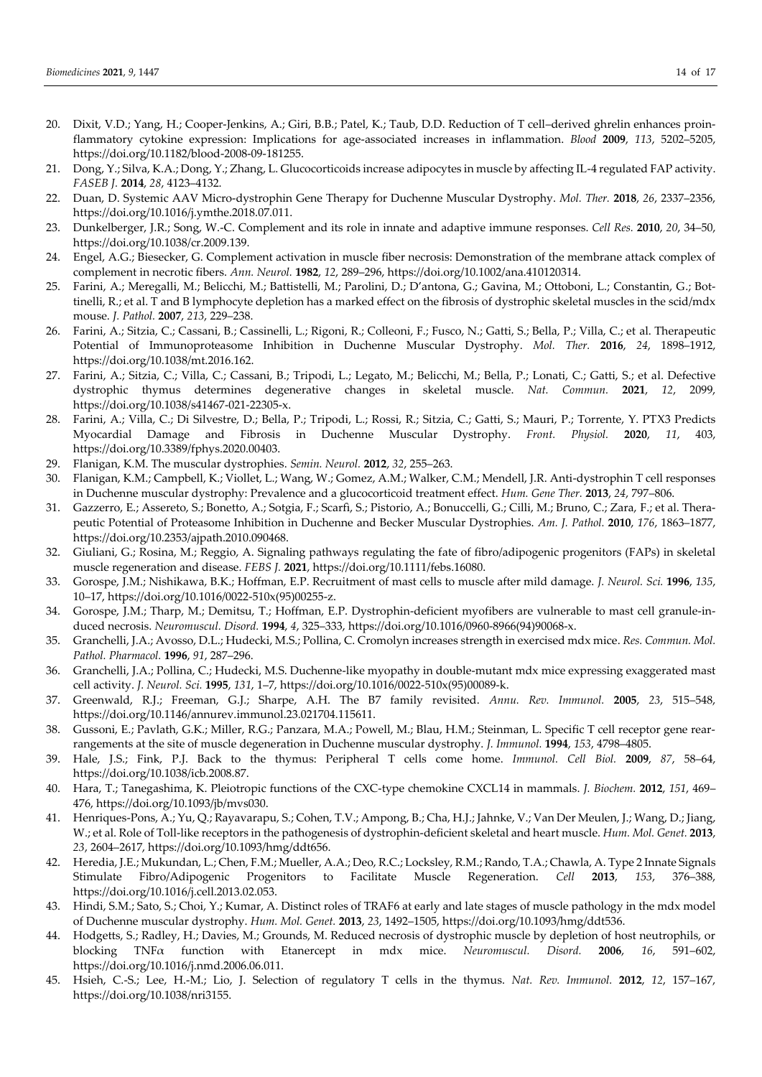- 20. Dixit, V.D.; Yang, H.; Cooper-Jenkins, A.; Giri, B.B.; Patel, K.; Taub, D.D. Reduction of T cell–derived ghrelin enhances proinflammatory cytokine expression: Implications for age-associated increases in inflammation. *Blood* **2009**, *113*, 5202–5205, https://doi.org/10.1182/blood-2008-09-181255.
- 21. Dong, Y.; Silva, K.A.; Dong, Y.; Zhang, L. Glucocorticoids increase adipocytes in muscle by affecting IL-4 regulated FAP activity. *FASEB J.* **2014**, *28*, 4123–4132.
- 22. Duan, D. Systemic AAV Micro-dystrophin Gene Therapy for Duchenne Muscular Dystrophy. *Mol. Ther.* **2018**, *26*, 2337–2356, https://doi.org/10.1016/j.ymthe.2018.07.011.
- 23. Dunkelberger, J.R.; Song, W.-C. Complement and its role in innate and adaptive immune responses. *Cell Res.* **2010**, *20*, 34–50, https://doi.org/10.1038/cr.2009.139.
- 24. Engel, A.G.; Biesecker, G. Complement activation in muscle fiber necrosis: Demonstration of the membrane attack complex of complement in necrotic fibers. *Ann. Neurol.* **1982**, *12*, 289–296, https://doi.org/10.1002/ana.410120314.
- 25. Farini, A.; Meregalli, M.; Belicchi, M.; Battistelli, M.; Parolini, D.; D'antona, G.; Gavina, M.; Ottoboni, L.; Constantin, G.; Bottinelli, R.; et al. T and B lymphocyte depletion has a marked effect on the fibrosis of dystrophic skeletal muscles in the scid/mdx mouse. *J. Pathol.* **2007**, *213*, 229–238.
- 26. Farini, A.; Sitzia, C.; Cassani, B.; Cassinelli, L.; Rigoni, R.; Colleoni, F.; Fusco, N.; Gatti, S.; Bella, P.; Villa, C.; et al. Therapeutic Potential of Immunoproteasome Inhibition in Duchenne Muscular Dystrophy. *Mol. Ther.* **2016**, *24*, 1898–1912, https://doi.org/10.1038/mt.2016.162.
- 27. Farini, A.; Sitzia, C.; Villa, C.; Cassani, B.; Tripodi, L.; Legato, M.; Belicchi, M.; Bella, P.; Lonati, C.; Gatti, S.; et al. Defective dystrophic thymus determines degenerative changes in skeletal muscle. *Nat. Commun.* **2021**, *12*, 2099, https://doi.org/10.1038/s41467-021-22305-x.
- 28. Farini, A.; Villa, C.; Di Silvestre, D.; Bella, P.; Tripodi, L.; Rossi, R.; Sitzia, C.; Gatti, S.; Mauri, P.; Torrente, Y. PTX3 Predicts Myocardial Damage and Fibrosis in Duchenne Muscular Dystrophy. *Front. Physiol.* **2020**, *11*, 403, https://doi.org/10.3389/fphys.2020.00403.
- 29. Flanigan, K.M. The muscular dystrophies. *Semin. Neurol.* **2012**, *32*, 255–263.
- 30. Flanigan, K.M.; Campbell, K.; Viollet, L.; Wang, W.; Gomez, A.M.; Walker, C.M.; Mendell, J.R. Anti-dystrophin T cell responses in Duchenne muscular dystrophy: Prevalence and a glucocorticoid treatment effect. *Hum. Gene Ther.* **2013**, *24*, 797–806.
- 31. Gazzerro, E.; Assereto, S.; Bonetto, A.; Sotgia, F.; Scarfì, S.; Pistorio, A.; Bonuccelli, G.; Cilli, M.; Bruno, C.; Zara, F.; et al. Therapeutic Potential of Proteasome Inhibition in Duchenne and Becker Muscular Dystrophies. *Am. J. Pathol.* **2010**, *176*, 1863–1877, https://doi.org/10.2353/ajpath.2010.090468.
- 32. Giuliani, G.; Rosina, M.; Reggio, A. Signaling pathways regulating the fate of fibro/adipogenic progenitors (FAPs) in skeletal muscle regeneration and disease. *FEBS J.* **2021**, https://doi.org/10.1111/febs.16080.
- 33. Gorospe, J.M.; Nishikawa, B.K.; Hoffman, E.P. Recruitment of mast cells to muscle after mild damage. *J. Neurol. Sci.* **1996**, *135*, 10–17, https://doi.org/10.1016/0022-510x(95)00255-z.
- 34. Gorospe, J.M.; Tharp, M.; Demitsu, T.; Hoffman, E.P. Dystrophin-deficient myofibers are vulnerable to mast cell granule-induced necrosis. *Neuromuscul. Disord.* **1994**, *4*, 325–333, https://doi.org/10.1016/0960-8966(94)90068-x.
- 35. Granchelli, J.A.; Avosso, D.L.; Hudecki, M.S.; Pollina, C. Cromolyn increases strength in exercised mdx mice. *Res. Commun. Mol. Pathol. Pharmacol.* **1996**, *91*, 287–296.
- 36. Granchelli, J.A.; Pollina, C.; Hudecki, M.S. Duchenne-like myopathy in double-mutant mdx mice expressing exaggerated mast cell activity. *J. Neurol. Sci.* **1995**, *131*, 1–7, https://doi.org/10.1016/0022-510x(95)00089-k.
- 37. Greenwald, R.J.; Freeman, G.J.; Sharpe, A.H. The B7 family revisited. *Annu. Rev. Immunol.* **2005**, *23*, 515–548, https://doi.org/10.1146/annurev.immunol.23.021704.115611.
- 38. Gussoni, E.; Pavlath, G.K.; Miller, R.G.; Panzara, M.A.; Powell, M.; Blau, H.M.; Steinman, L. Specific T cell receptor gene rearrangements at the site of muscle degeneration in Duchenne muscular dystrophy. *J. Immunol.* **1994**, *153*, 4798–4805.
- 39. Hale, J.S.; Fink, P.J. Back to the thymus: Peripheral T cells come home. *Immunol. Cell Biol.* **2009**, *87*, 58–64, https://doi.org/10.1038/icb.2008.87.
- 40. Hara, T.; Tanegashima, K. Pleiotropic functions of the CXC-type chemokine CXCL14 in mammals. *J. Biochem.* **2012**, *151*, 469– 476, https://doi.org/10.1093/jb/mvs030.
- 41. Henriques-Pons, A.; Yu, Q.; Rayavarapu, S.; Cohen, T.V.; Ampong, B.; Cha, H.J.; Jahnke, V.; Van Der Meulen, J.; Wang, D.; Jiang, W.; et al. Role of Toll-like receptors in the pathogenesis of dystrophin-deficient skeletal and heart muscle. *Hum. Mol. Genet.* **2013**, *23*, 2604–2617, https://doi.org/10.1093/hmg/ddt656.
- 42. Heredia, J.E.; Mukundan, L.; Chen, F.M.; Mueller, A.A.; Deo, R.C.; Locksley, R.M.; Rando, T.A.; Chawla, A. Type 2 Innate Signals Stimulate Fibro/Adipogenic Progenitors to Facilitate Muscle Regeneration. *Cell* **2013**, *153*, 376–388, https://doi.org/10.1016/j.cell.2013.02.053.
- 43. Hindi, S.M.; Sato, S.; Choi, Y.; Kumar, A. Distinct roles of TRAF6 at early and late stages of muscle pathology in the mdx model of Duchenne muscular dystrophy. *Hum. Mol. Genet.* **2013**, *23*, 1492–1505, https://doi.org/10.1093/hmg/ddt536.
- 44. Hodgetts, S.; Radley, H.; Davies, M.; Grounds, M. Reduced necrosis of dystrophic muscle by depletion of host neutrophils, or blocking TNFα function with Etanercept in mdx mice. *Neuromuscul. Disord.* **2006**, *16*, 591–602, https://doi.org/10.1016/j.nmd.2006.06.011.
- 45. Hsieh, C.-S.; Lee, H.-M.; Lio, J. Selection of regulatory T cells in the thymus. *Nat. Rev. Immunol.* **2012**, *12*, 157–167, https://doi.org/10.1038/nri3155.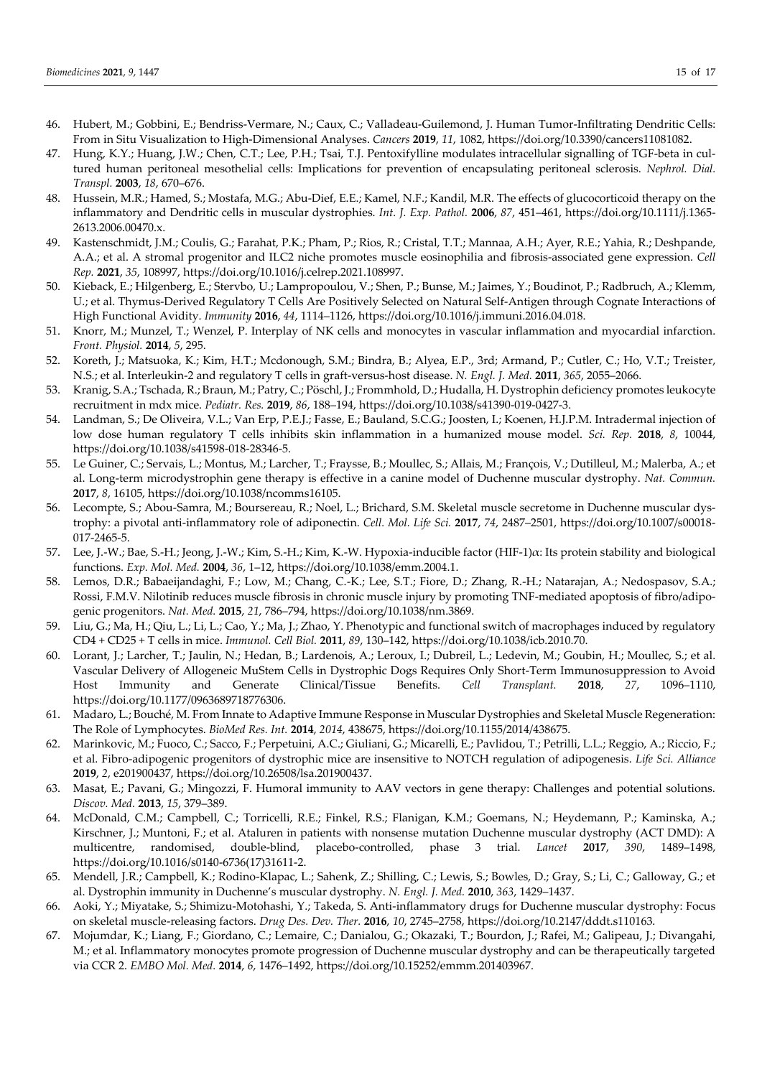- 46. Hubert, M.; Gobbini, E.; Bendriss-Vermare, N.; Caux, C.; Valladeau-Guilemond, J. Human Tumor-Infiltrating Dendritic Cells: From in Situ Visualization to High-Dimensional Analyses. *Cancers* **2019**, *11*, 1082, https://doi.org/10.3390/cancers11081082.
- 47. Hung, K.Y.; Huang, J.W.; Chen, C.T.; Lee, P.H.; Tsai, T.J. Pentoxifylline modulates intracellular signalling of TGF-beta in cultured human peritoneal mesothelial cells: Implications for prevention of encapsulating peritoneal sclerosis. *Nephrol. Dial. Transpl.* **2003**, *18*, 670–676.
- 48. Hussein, M.R.; Hamed, S.; Mostafa, M.G.; Abu-Dief, E.E.; Kamel, N.F.; Kandil, M.R. The effects of glucocorticoid therapy on the inflammatory and Dendritic cells in muscular dystrophies. *Int. J. Exp. Pathol.* **2006**, *87*, 451–461, https://doi.org/10.1111/j.1365- 2613.2006.00470.x.
- 49. Kastenschmidt, J.M.; Coulis, G.; Farahat, P.K.; Pham, P.; Rios, R.; Cristal, T.T.; Mannaa, A.H.; Ayer, R.E.; Yahia, R.; Deshpande, A.A.; et al. A stromal progenitor and ILC2 niche promotes muscle eosinophilia and fibrosis-associated gene expression. *Cell Rep.* **2021**, *35*, 108997, https://doi.org/10.1016/j.celrep.2021.108997.
- 50. Kieback, E.; Hilgenberg, E.; Stervbo, U.; Lampropoulou, V.; Shen, P.; Bunse, M.; Jaimes, Y.; Boudinot, P.; Radbruch, A.; Klemm, U.; et al. Thymus-Derived Regulatory T Cells Are Positively Selected on Natural Self-Antigen through Cognate Interactions of High Functional Avidity. *Immunity* **2016**, *44*, 1114–1126, https://doi.org/10.1016/j.immuni.2016.04.018.
- 51. Knorr, M.; Munzel, T.; Wenzel, P. Interplay of NK cells and monocytes in vascular inflammation and myocardial infarction. *Front. Physiol.* **2014**, *5*, 295.
- 52. Koreth, J.; Matsuoka, K.; Kim, H.T.; Mcdonough, S.M.; Bindra, B.; Alyea, E.P., 3rd; Armand, P.; Cutler, C.; Ho, V.T.; Treister, N.S.; et al. Interleukin-2 and regulatory T cells in graft-versus-host disease. *N. Engl. J. Med.* **2011**, *365*, 2055–2066.
- 53. Kranig, S.A.; Tschada, R.; Braun, M.; Patry, C.; Pöschl, J.; Frommhold, D.; Hudalla, H. Dystrophin deficiency promotes leukocyte recruitment in mdx mice. *Pediatr. Res.* **2019**, *86*, 188–194, https://doi.org/10.1038/s41390-019-0427-3.
- 54. Landman, S.; De Oliveira, V.L.; Van Erp, P.E.J.; Fasse, E.; Bauland, S.C.G.; Joosten, I.; Koenen, H.J.P.M. Intradermal injection of low dose human regulatory T cells inhibits skin inflammation in a humanized mouse model. *Sci. Rep.* **2018**, *8*, 10044, https://doi.org/10.1038/s41598-018-28346-5.
- 55. Le Guiner, C.; Servais, L.; Montus, M.; Larcher, T.; Fraysse, B.; Moullec, S.; Allais, M.; François, V.; Dutilleul, M.; Malerba, A.; et al. Long-term microdystrophin gene therapy is effective in a canine model of Duchenne muscular dystrophy. *Nat. Commun.* **2017**, *8*, 16105, https://doi.org/10.1038/ncomms16105.
- 56. Lecompte, S.; Abou-Samra, M.; Boursereau, R.; Noel, L.; Brichard, S.M. Skeletal muscle secretome in Duchenne muscular dystrophy: a pivotal anti-inflammatory role of adiponectin. *Cell. Mol. Life Sci.* **2017**, *74*, 2487–2501, https://doi.org/10.1007/s00018- 017-2465-5.
- 57. Lee, J.-W.; Bae, S.-H.; Jeong, J.-W.; Kim, S.-H.; Kim, K.-W. Hypoxia-inducible factor (HIF-1)α: Its protein stability and biological functions. *Exp. Mol. Med.* **2004**, *36*, 1–12, https://doi.org/10.1038/emm.2004.1.
- 58. Lemos, D.R.; Babaeijandaghi, F.; Low, M.; Chang, C.-K.; Lee, S.T.; Fiore, D.; Zhang, R.-H.; Natarajan, A.; Nedospasov, S.A.; Rossi, F.M.V. Nilotinib reduces muscle fibrosis in chronic muscle injury by promoting TNF-mediated apoptosis of fibro/adipogenic progenitors. *Nat. Med.* **2015**, *21*, 786–794, https://doi.org/10.1038/nm.3869.
- 59. Liu, G.; Ma, H.; Qiu, L.; Li, L.; Cao, Y.; Ma, J.; Zhao, Y. Phenotypic and functional switch of macrophages induced by regulatory CD4 + CD25 + T cells in mice. *Immunol. Cell Biol.* **2011**, *89*, 130–142, https://doi.org/10.1038/icb.2010.70.
- 60. Lorant, J.; Larcher, T.; Jaulin, N.; Hedan, B.; Lardenois, A.; Leroux, I.; Dubreil, L.; Ledevin, M.; Goubin, H.; Moullec, S.; et al. Vascular Delivery of Allogeneic MuStem Cells in Dystrophic Dogs Requires Only Short-Term Immunosuppression to Avoid Host Immunity and Generate Clinical/Tissue Benefits. *Cell Transplant.* **2018**, *27*, 1096–1110, https://doi.org/10.1177/0963689718776306.
- 61. Madaro, L.; Bouché, M. From Innate to Adaptive Immune Response in Muscular Dystrophies and Skeletal Muscle Regeneration: The Role of Lymphocytes. *BioMed Res. Int.* **2014**, *2014*, 438675, https://doi.org/10.1155/2014/438675.
- 62. Marinkovic, M.; Fuoco, C.; Sacco, F.; Perpetuini, A.C.; Giuliani, G.; Micarelli, E.; Pavlidou, T.; Petrilli, L.L.; Reggio, A.; Riccio, F.; et al. Fibro-adipogenic progenitors of dystrophic mice are insensitive to NOTCH regulation of adipogenesis. *Life Sci. Alliance* **2019**, *2*, e201900437, https://doi.org/10.26508/lsa.201900437.
- 63. Masat, E.; Pavani, G.; Mingozzi, F. Humoral immunity to AAV vectors in gene therapy: Challenges and potential solutions. *Discov. Med.* **2013**, *15*, 379–389.
- 64. McDonald, C.M.; Campbell, C.; Torricelli, R.E.; Finkel, R.S.; Flanigan, K.M.; Goemans, N.; Heydemann, P.; Kaminska, A.; Kirschner, J.; Muntoni, F.; et al. Ataluren in patients with nonsense mutation Duchenne muscular dystrophy (ACT DMD): A multicentre, randomised, double-blind, placebo-controlled, phase 3 trial. *Lancet* **2017**, *390*, 1489–1498, https://doi.org/10.1016/s0140-6736(17)31611-2.
- 65. Mendell, J.R.; Campbell, K.; Rodino-Klapac, L.; Sahenk, Z.; Shilling, C.; Lewis, S.; Bowles, D.; Gray, S.; Li, C.; Galloway, G.; et al. Dystrophin immunity in Duchenne's muscular dystrophy. *N. Engl. J. Med.* **2010**, *363*, 1429–1437.
- 66. Aoki, Y.; Miyatake, S.; Shimizu-Motohashi, Y.; Takeda, S. Anti-inflammatory drugs for Duchenne muscular dystrophy: Focus on skeletal muscle-releasing factors. *Drug Des. Dev. Ther.* **2016**, *10*, 2745–2758, https://doi.org/10.2147/dddt.s110163.
- 67. Mojumdar, K.; Liang, F.; Giordano, C.; Lemaire, C.; Danialou, G.; Okazaki, T.; Bourdon, J.; Rafei, M.; Galipeau, J.; Divangahi, M.; et al. Inflammatory monocytes promote progression of Duchenne muscular dystrophy and can be therapeutically targeted via CCR 2. *EMBO Mol. Med.* **2014**, *6*, 1476–1492, https://doi.org/10.15252/emmm.201403967.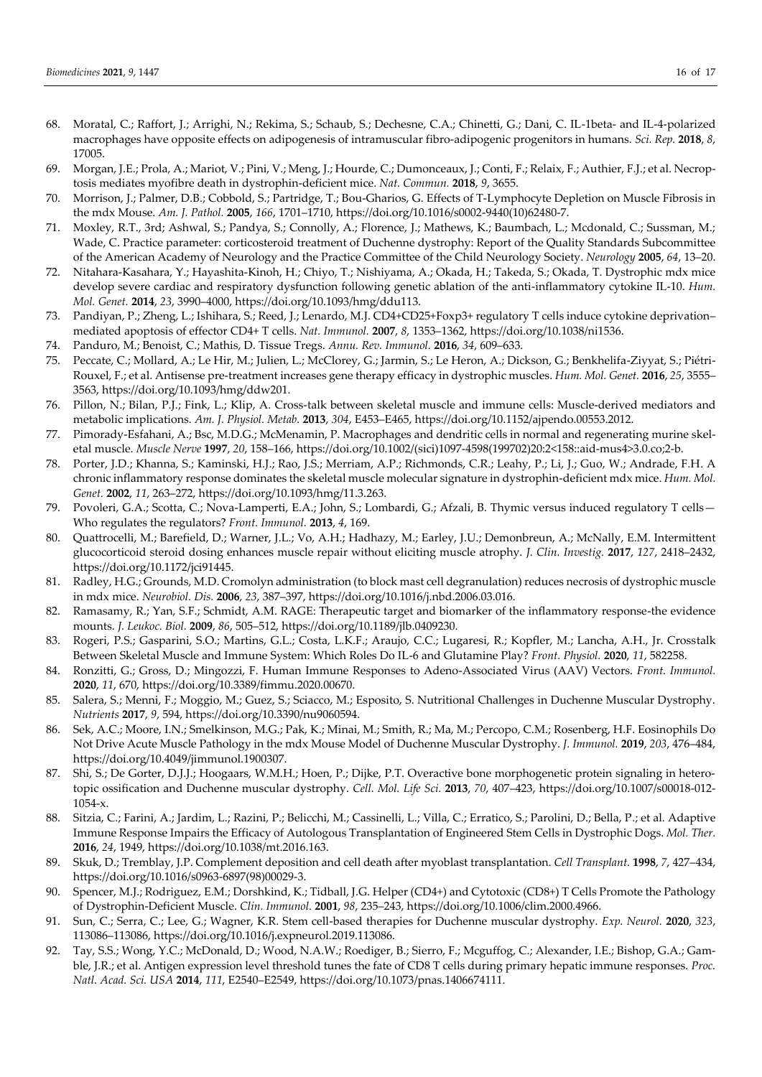- 68. Moratal, C.; Raffort, J.; Arrighi, N.; Rekima, S.; Schaub, S.; Dechesne, C.A.; Chinetti, G.; Dani, C. IL-1beta- and IL-4-polarized macrophages have opposite effects on adipogenesis of intramuscular fibro-adipogenic progenitors in humans. *Sci. Rep.* **2018**, *8*, 17005.
- 69. Morgan, J.E.; Prola, A.; Mariot, V.; Pini, V.; Meng, J.; Hourde, C.; Dumonceaux, J.; Conti, F.; Relaix, F.; Authier, F.J.; et al. Necroptosis mediates myofibre death in dystrophin-deficient mice. *Nat. Commun.* **2018**, *9*, 3655.
- 70. Morrison, J.; Palmer, D.B.; Cobbold, S.; Partridge, T.; Bou-Gharios, G. Effects of T-Lymphocyte Depletion on Muscle Fibrosis in the mdx Mouse. *Am. J. Pathol.* **2005**, *166*, 1701–1710, https://doi.org/10.1016/s0002-9440(10)62480-7.
- 71. Moxley, R.T., 3rd; Ashwal, S.; Pandya, S.; Connolly, A.; Florence, J.; Mathews, K.; Baumbach, L.; Mcdonald, C.; Sussman, M.; Wade, C. Practice parameter: corticosteroid treatment of Duchenne dystrophy: Report of the Quality Standards Subcommittee of the American Academy of Neurology and the Practice Committee of the Child Neurology Society. *Neurology* **2005**, *64*, 13–20.
- 72. Nitahara-Kasahara, Y.; Hayashita-Kinoh, H.; Chiyo, T.; Nishiyama, A.; Okada, H.; Takeda, S.; Okada, T. Dystrophic mdx mice develop severe cardiac and respiratory dysfunction following genetic ablation of the anti-inflammatory cytokine IL-10. *Hum. Mol. Genet.* **2014**, *23*, 3990–4000, https://doi.org/10.1093/hmg/ddu113.
- 73. Pandiyan, P.; Zheng, L.; Ishihara, S.; Reed, J.; Lenardo, M.J. CD4+CD25+Foxp3+ regulatory T cells induce cytokine deprivation– mediated apoptosis of effector CD4+ T cells. *Nat. Immunol.* **2007**, *8*, 1353–1362, https://doi.org/10.1038/ni1536.
- 74. Panduro, M.; Benoist, C.; Mathis, D. Tissue Tregs. *Annu. Rev. Immunol.* **2016**, *34*, 609–633.
- 75. Peccate, C.; Mollard, A.; Le Hir, M.; Julien, L.; McClorey, G.; Jarmin, S.; Le Heron, A.; Dickson, G.; Benkhelifa-Ziyyat, S.; Piétri-Rouxel, F.; et al. Antisense pre-treatment increases gene therapy efficacy in dystrophic muscles. *Hum. Mol. Genet.* **2016**, *25*, 3555– 3563, https://doi.org/10.1093/hmg/ddw201.
- 76. Pillon, N.; Bilan, P.J.; Fink, L.; Klip, A. Cross-talk between skeletal muscle and immune cells: Muscle-derived mediators and metabolic implications. *Am. J. Physiol. Metab.* **2013**, *304*, E453–E465, https://doi.org/10.1152/ajpendo.00553.2012.
- 77. Pimorady-Esfahani, A.; Bsc, M.D.G.; McMenamin, P. Macrophages and dendritic cells in normal and regenerating murine skeletal muscle. *Muscle Nerve* **1997**, *20*, 158–166, https://doi.org/10.1002/(sici)1097-4598(199702)20:2<158::aid-mus4>3.0.co;2-b.
- 78. Porter, J.D.; Khanna, S.; Kaminski, H.J.; Rao, J.S.; Merriam, A.P.; Richmonds, C.R.; Leahy, P.; Li, J.; Guo, W.; Andrade, F.H. A chronic inflammatory response dominates the skeletal muscle molecular signature in dystrophin-deficient mdx mice. *Hum. Mol. Genet.* **2002**, *11*, 263–272, https://doi.org/10.1093/hmg/11.3.263.
- 79. Povoleri, G.A.; Scotta, C.; Nova-Lamperti, E.A.; John, S.; Lombardi, G.; Afzali, B. Thymic versus induced regulatory T cells— Who regulates the regulators? *Front. Immunol.* **2013**, *4*, 169.
- 80. Quattrocelli, M.; Barefield, D.; Warner, J.L.; Vo, A.H.; Hadhazy, M.; Earley, J.U.; Demonbreun, A.; McNally, E.M. Intermittent glucocorticoid steroid dosing enhances muscle repair without eliciting muscle atrophy. *J. Clin. Investig.* **2017**, *127*, 2418–2432, https://doi.org/10.1172/jci91445.
- 81. Radley, H.G.; Grounds, M.D. Cromolyn administration (to block mast cell degranulation) reduces necrosis of dystrophic muscle in mdx mice. *Neurobiol. Dis.* **2006**, *23*, 387–397, https://doi.org/10.1016/j.nbd.2006.03.016.
- 82. Ramasamy, R.; Yan, S.F.; Schmidt, A.M. RAGE: Therapeutic target and biomarker of the inflammatory response-the evidence mounts. *J. Leukoc. Biol.* **2009**, *86*, 505–512, https://doi.org/10.1189/jlb.0409230.
- 83. Rogeri, P.S.; Gasparini, S.O.; Martins, G.L.; Costa, L.K.F.; Araujo, C.C.; Lugaresi, R.; Kopfler, M.; Lancha, A.H., Jr. Crosstalk Between Skeletal Muscle and Immune System: Which Roles Do IL-6 and Glutamine Play? *Front. Physiol.* **2020**, *11*, 582258.
- 84. Ronzitti, G.; Gross, D.; Mingozzi, F. Human Immune Responses to Adeno-Associated Virus (AAV) Vectors. *Front. Immunol.* **2020**, *11*, 670, https://doi.org/10.3389/fimmu.2020.00670.
- 85. Salera, S.; Menni, F.; Moggio, M.; Guez, S.; Sciacco, M.; Esposito, S. Nutritional Challenges in Duchenne Muscular Dystrophy. *Nutrients* **2017**, *9*, 594, https://doi.org/10.3390/nu9060594.
- 86. Sek, A.C.; Moore, I.N.; Smelkinson, M.G.; Pak, K.; Minai, M.; Smith, R.; Ma, M.; Percopo, C.M.; Rosenberg, H.F. Eosinophils Do Not Drive Acute Muscle Pathology in the mdx Mouse Model of Duchenne Muscular Dystrophy. *J. Immunol.* **2019**, *203*, 476–484, https://doi.org/10.4049/jimmunol.1900307.
- 87. Shi, S.; De Gorter, D.J.J.; Hoogaars, W.M.H.; Hoen, P.; Dijke, P.T. Overactive bone morphogenetic protein signaling in heterotopic ossification and Duchenne muscular dystrophy. *Cell. Mol. Life Sci.* **2013**, *70*, 407–423, https://doi.org/10.1007/s00018-012- 1054-x.
- 88. Sitzia, C.; Farini, A.; Jardim, L.; Razini, P.; Belicchi, M.; Cassinelli, L.; Villa, C.; Erratico, S.; Parolini, D.; Bella, P.; et al. Adaptive Immune Response Impairs the Efficacy of Autologous Transplantation of Engineered Stem Cells in Dystrophic Dogs. *Mol. Ther.* **2016**, *24*, 1949, https://doi.org/10.1038/mt.2016.163.
- 89. Skuk, D.; Tremblay, J.P. Complement deposition and cell death after myoblast transplantation. *Cell Transplant.* **1998**, *7*, 427–434, https://doi.org/10.1016/s0963-6897(98)00029-3.
- 90. Spencer, M.J.; Rodriguez, E.M.; Dorshkind, K.; Tidball, J.G. Helper (CD4+) and Cytotoxic (CD8+) T Cells Promote the Pathology of Dystrophin-Deficient Muscle. *Clin. Immunol.* **2001**, *98*, 235–243, https://doi.org/10.1006/clim.2000.4966.
- 91. Sun, C.; Serra, C.; Lee, G.; Wagner, K.R. Stem cell-based therapies for Duchenne muscular dystrophy. *Exp. Neurol.* **2020**, *323*, 113086–113086, https://doi.org/10.1016/j.expneurol.2019.113086.
- 92. Tay, S.S.; Wong, Y.C.; McDonald, D.; Wood, N.A.W.; Roediger, B.; Sierro, F.; Mcguffog, C.; Alexander, I.E.; Bishop, G.A.; Gamble, J.R.; et al. Antigen expression level threshold tunes the fate of CD8 T cells during primary hepatic immune responses. *Proc. Natl. Acad. Sci. USA* **2014**, *111*, E2540–E2549, https://doi.org/10.1073/pnas.1406674111.